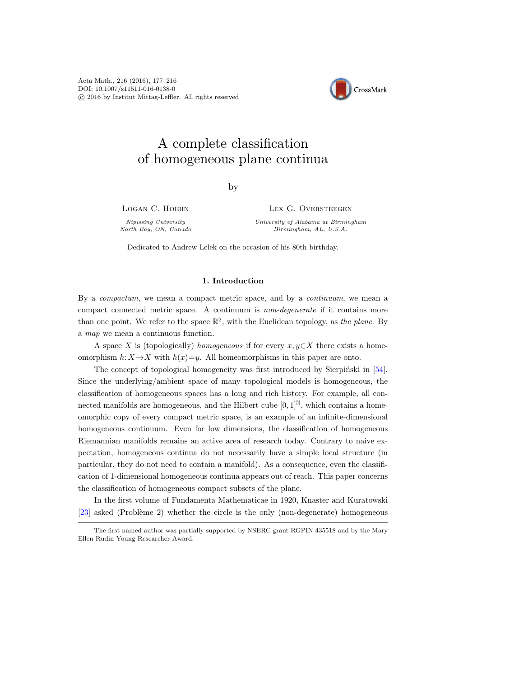

# A complete classification of homogeneous plane continua

by

Logan C. Hoehn

Nipissing University North Bay, ON, Canada LEX G. OVERSTEEGEN

University of Alabama at Birmingham Birmingham, AL, U.S.A.

Dedicated to Andrew Lelek on the occasion of his 80th birthday.

# 1. Introduction

By a compactum, we mean a compact metric space, and by a continuum, we mean a compact connected metric space. A continuum is non-degenerate if it contains more than one point. We refer to the space  $\mathbb{R}^2$ , with the Euclidean topology, as the plane. By a map we mean a continuous function.

A space X is (topologically) homogeneous if for every  $x, y \in X$  there exists a homeomorphism  $h: X \to X$  with  $h(x)=y$ . All homeomorphisms in this paper are onto.

The concept of topological homogeneity was first introduced by Sierpinski in  $[54]$ . Since the underlying/ambient space of many topological models is homogeneous, the classification of homogeneous spaces has a long and rich history. For example, all connected manifolds are homogeneous, and the Hilbert cube  $[0, 1]^{N}$ , which contains a homeomorphic copy of every compact metric space, is an example of an infinite-dimensional homogeneous continuum. Even for low dimensions, the classification of homogeneous Riemannian manifolds remains an active area of research today. Contrary to naive expectation, homogeneous continua do not necessarily have a simple local structure (in particular, they do not need to contain a manifold). As a consequence, even the classification of 1-dimensional homogeneous continua appears out of reach. This paper concerns the classification of homogeneous compact subsets of the plane.

In the first volume of Fundamenta Mathematicae in 1920, Knaster and Kuratowski [\[23\]](#page-38-0) asked (Problème 2) whether the circle is the only (non-degenerate) homogeneous

The first named author was partially supported by NSERC grant RGPIN 435518 and by the Mary Ellen Rudin Young Researcher Award.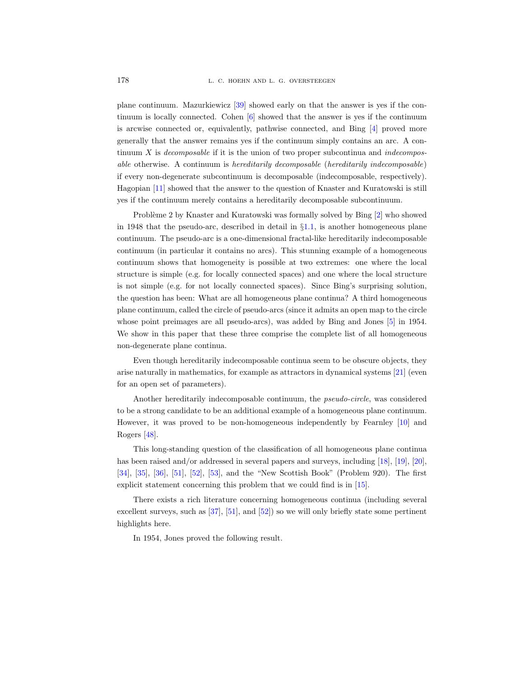plane continuum. Mazurkiewicz [\[39\]](#page-38-1) showed early on that the answer is yes if the continuum is locally connected. Cohen [\[6\]](#page-37-0) showed that the answer is yes if the continuum is arcwise connected or, equivalently, pathwise connected, and Bing [\[4\]](#page-37-1) proved more generally that the answer remains yes if the continuum simply contains an arc. A continuum  $X$  is *decomposable* if it is the union of two proper subcontinua and *indecompos*able otherwise. A continuum is hereditarily decomposable (hereditarily indecomposable) if every non-degenerate subcontinuum is decomposable (indecomposable, respectively). Hagopian [\[11\]](#page-37-2) showed that the answer to the question of Knaster and Kuratowski is still yes if the continuum merely contains a hereditarily decomposable subcontinuum.

Problème 2 by Knaster and Kuratowski was formally solved by Bing [\[2\]](#page-37-3) who showed in 1948 that the pseudo-arc, described in detail in  $\S1.1$ , is another homogeneous plane continuum. The pseudo-arc is a one-dimensional fractal-like hereditarily indecomposable continuum (in particular it contains no arcs). This stunning example of a homogeneous continuum shows that homogeneity is possible at two extremes: one where the local structure is simple (e.g. for locally connected spaces) and one where the local structure is not simple (e.g. for not locally connected spaces). Since Bing's surprising solution, the question has been: What are all homogeneous plane continua? A third homogeneous plane continuum, called the circle of pseudo-arcs (since it admits an open map to the circle whose point preimages are all pseudo-arcs), was added by Bing and Jones [\[5\]](#page-37-4) in 1954. We show in this paper that these three comprise the complete list of all homogeneous non-degenerate plane continua.

Even though hereditarily indecomposable continua seem to be obscure objects, they arise naturally in mathematics, for example as attractors in dynamical systems [\[21\]](#page-38-2) (even for an open set of parameters).

Another hereditarily indecomposable continuum, the *pseudo-circle*, was considered to be a strong candidate to be an additional example of a homogeneous plane continuum. However, it was proved to be non-homogeneous independently by Fearnley [\[10\]](#page-37-5) and Rogers [\[48\]](#page-38-3).

This long-standing question of the classification of all homogeneous plane continua has been raised and/or addressed in several papers and surveys, including [\[18\]](#page-37-6), [\[19\]](#page-37-7), [\[20\]](#page-37-8), [\[34\]](#page-38-4), [\[35\]](#page-38-5), [\[36\]](#page-38-6), [\[51\]](#page-38-7), [\[52\]](#page-39-1), [\[53\]](#page-39-2), and the "New Scottish Book" (Problem 920). The first explicit statement concerning this problem that we could find is in [\[15\]](#page-37-9).

There exists a rich literature concerning homogeneous continua (including several excellent surveys, such as [\[37\]](#page-38-8), [\[51\]](#page-38-7), and [\[52\]](#page-39-1)) so we will only briefly state some pertinent highlights here.

In 1954, Jones proved the following result.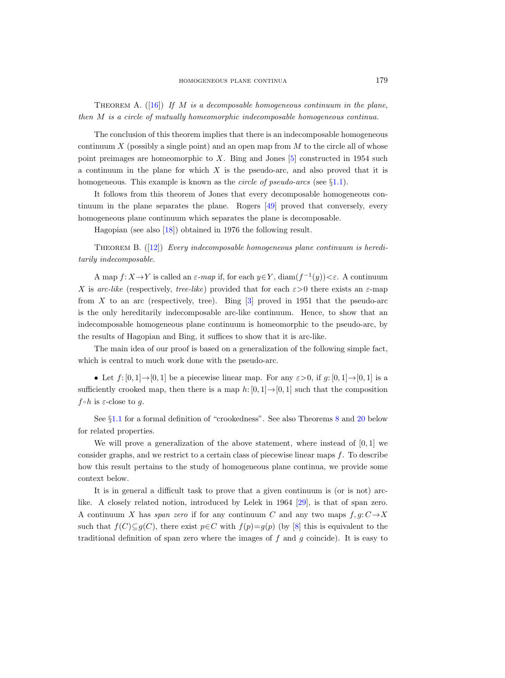<span id="page-2-1"></span>THEOREM A.  $([16])$  $([16])$  $([16])$  If M is a decomposable homogeneous continuum in the plane, then M is a circle of mutually homeomorphic indecomposable homogeneous continua.

The conclusion of this theorem implies that there is an indecomposable homogeneous continuum  $X$  (possibly a single point) and an open map from  $M$  to the circle all of whose point preimages are homeomorphic to  $X$ . Bing and Jones  $[5]$  constructed in 1954 such a continuum in the plane for which  $X$  is the pseudo-arc, and also proved that it is homogeneous. This example is known as the *circle of pseudo-arcs* (see  $\S1.1$ ).

It follows from this theorem of Jones that every decomposable homogeneous continuum in the plane separates the plane. Rogers [\[49\]](#page-38-9) proved that conversely, every homogeneous plane continuum which separates the plane is decomposable.

Hagopian (see also [\[18\]](#page-37-6)) obtained in 1976 the following result.

<span id="page-2-0"></span>THEOREM B.  $(12)$  Every indecomposable homogeneous plane continuum is hereditarily indecomposable.

A map  $f: X \to Y$  is called an  $\varepsilon$ -map if, for each  $y \in Y$ , diam $(f^{-1}(y)) < \varepsilon$ . A continuum X is arc-like (respectively, tree-like) provided that for each  $\varepsilon > 0$  there exists an  $\varepsilon$ -map from  $X$  to an arc (respectively, tree). Bing  $[3]$  proved in 1951 that the pseudo-arc is the only hereditarily indecomposable arc-like continuum. Hence, to show that an indecomposable homogeneous plane continuum is homeomorphic to the pseudo-arc, by the results of Hagopian and Bing, it suffices to show that it is arc-like.

The main idea of our proof is based on a generalization of the following simple fact, which is central to much work done with the pseudo-arc.

• Let  $f: [0, 1] \rightarrow [0, 1]$  be a piecewise linear map. For any  $\varepsilon > 0$ , if  $g: [0, 1] \rightarrow [0, 1]$  is a sufficiently crooked map, then there is a map h:  $[0, 1] \rightarrow [0, 1]$  such that the composition  $f \circ h$  is  $\varepsilon$ -close to g.

See §[1.1](#page-4-0) for a formal definition of "crookedness". See also Theorems [8](#page-10-0) and [20](#page-32-0) below for related properties.

We will prove a generalization of the above statement, where instead of  $[0, 1]$  we consider graphs, and we restrict to a certain class of piecewise linear maps  $f$ . To describe how this result pertains to the study of homogeneous plane continua, we provide some context below.

It is in general a difficult task to prove that a given continuum is (or is not) arclike. A closely related notion, introduced by Lelek in 1964 [\[29\]](#page-38-10), is that of span zero. A continuum X has span zero if for any continuum C and any two maps  $f, g: C \rightarrow X$ such that  $f(C) \subseteq g(C)$ , there exist  $p \in C$  with  $f(p)=g(p)$  (by [\[8\]](#page-37-13) this is equivalent to the traditional definition of span zero where the images of  $f$  and  $g$  coincide). It is easy to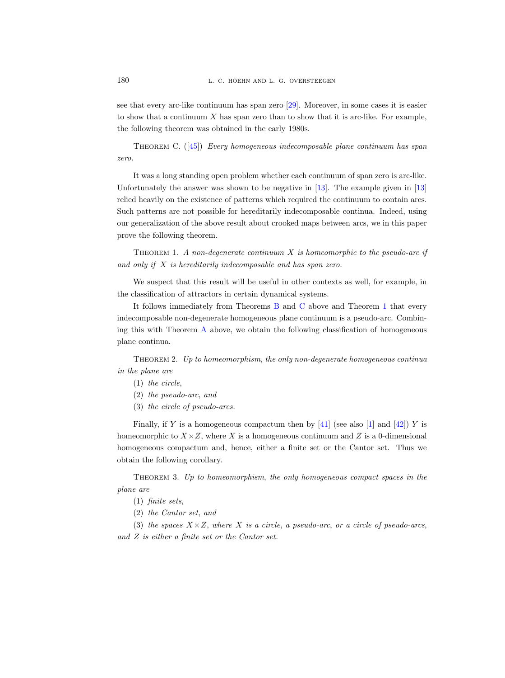see that every arc-like continuum has span zero [\[29\]](#page-38-10). Moreover, in some cases it is easier to show that a continuum  $X$  has span zero than to show that it is arc-like. For example, the following theorem was obtained in the early 1980s.

<span id="page-3-0"></span>THEOREM C.  $([45])$  $([45])$  $([45])$  Every homogeneous indecomposable plane continuum has span zero.

It was a long standing open problem whether each continuum of span zero is arc-like. Unfortunately the answer was shown to be negative in [\[13\]](#page-37-14). The example given in [\[13\]](#page-37-14) relied heavily on the existence of patterns which required the continuum to contain arcs. Such patterns are not possible for hereditarily indecomposable continua. Indeed, using our generalization of the above result about crooked maps between arcs, we in this paper prove the following theorem.

<span id="page-3-1"></span>THEOREM 1. A non-degenerate continuum X is homeomorphic to the pseudo-arc if and only if X is hereditarily indecomposable and has span zero.

We suspect that this result will be useful in other contexts as well, for example, in the classification of attractors in certain dynamical systems.

It follows immediately from Theorems [B](#page-2-0) and [C](#page-3-0) above and Theorem [1](#page-3-1) that every indecomposable non-degenerate homogeneous plane continuum is a pseudo-arc. Combining this with Theorem [A](#page-2-1) above, we obtain the following classification of homogeneous plane continua.

Theorem 2. Up to homeomorphism, the only non-degenerate homogeneous continua in the plane are

- (1) the circle,
- (2) the pseudo-arc, and
- (3) the circle of pseudo-arcs.

Finally, if Y is a homogeneous compactum then by  $[41]$  (see also  $[1]$  and  $[42]$ ) Y is homeomorphic to  $X \times Z$ , where X is a homogeneous continuum and Z is a 0-dimensional homogeneous compactum and, hence, either a finite set or the Cantor set. Thus we obtain the following corollary.

Theorem 3. Up to homeomorphism, the only homogeneous compact spaces in the plane are

- (1) finite sets,
- (2) the Cantor set, and

(3) the spaces  $X \times Z$ , where X is a circle, a pseudo-arc, or a circle of pseudo-arcs, and Z is either a finite set or the Cantor set.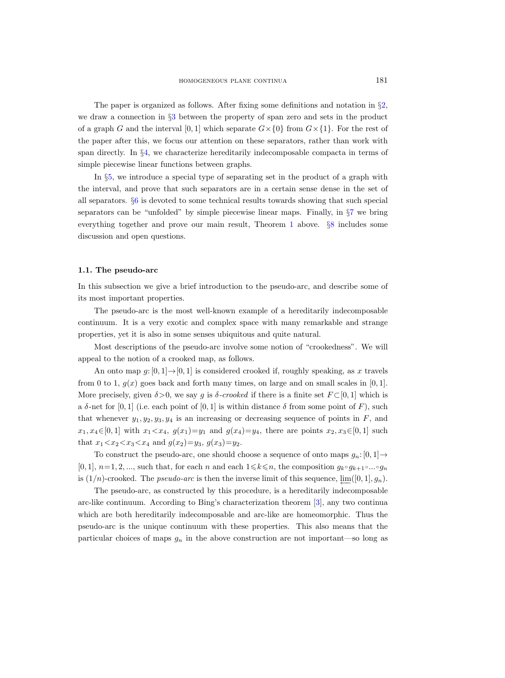The paper is organized as follows. After fixing some definitions and notation in §[2,](#page-6-0) we draw a connection in §[3](#page-6-1) between the property of span zero and sets in the product of a graph G and the interval [0, 1] which separate  $G \times \{0\}$  from  $G \times \{1\}$ . For the rest of the paper after this, we focus our attention on these separators, rather than work with span directly. In §[4,](#page-7-0) we characterize hereditarily indecomposable compacta in terms of simple piecewise linear functions between graphs.

In §[5,](#page-14-0) we introduce a special type of separating set in the product of a graph with the interval, and prove that such separators are in a certain sense dense in the set of all separators. §[6](#page-21-0) is devoted to some technical results towards showing that such special separators can be "unfolded" by simple piecewise linear maps. Finally, in  $\S7$  $\S7$  we bring everything together and prove our main result, Theorem [1](#page-3-1) above. §[8](#page-34-0) includes some discussion and open questions.

## <span id="page-4-0"></span>1.1. The pseudo-arc

In this subsection we give a brief introduction to the pseudo-arc, and describe some of its most important properties.

The pseudo-arc is the most well-known example of a hereditarily indecomposable continuum. It is a very exotic and complex space with many remarkable and strange properties, yet it is also in some senses ubiquitous and quite natural.

Most descriptions of the pseudo-arc involve some notion of "crookedness". We will appeal to the notion of a crooked map, as follows.

An onto map  $g: [0, 1] \rightarrow [0, 1]$  is considered crooked if, roughly speaking, as x travels from 0 to 1,  $g(x)$  goes back and forth many times, on large and on small scales in [0, 1]. More precisely, given  $\delta > 0$ , we say g is  $\delta$ -crooked if there is a finite set  $F \subset [0,1]$  which is a  $\delta$ -net for [0, 1] (i.e. each point of [0, 1] is within distance  $\delta$  from some point of F), such that whenever  $y_1, y_2, y_3, y_4$  is an increasing or decreasing sequence of points in F, and  $x_1, x_4 \in [0, 1]$  with  $x_1 < x_4$ ,  $g(x_1) = y_1$  and  $g(x_4) = y_4$ , there are points  $x_2, x_3 \in [0, 1]$  such that  $x_1 < x_2 < x_3 < x_4$  and  $g(x_2)=y_3$ ,  $g(x_3)=y_2$ .

To construct the pseudo-arc, one should choose a sequence of onto maps  $g_n: [0, 1] \rightarrow$  $[0, 1], n=1, 2, \ldots$ , such that, for each n and each  $1 \leq k \leq n$ , the composition  $g_k \circ g_{k+1} \circ \ldots \circ g_n$ is  $(1/n)$ -crooked. The *pseudo-arc* is then the inverse limit of this sequence,  $\varprojlim([0,1], g_n)$ .

The pseudo-arc, as constructed by this procedure, is a hereditarily indecomposable arc-like continuum. According to Bing's characterization theorem [\[3\]](#page-37-12), any two continua which are both hereditarily indecomposable and arc-like are homeomorphic. Thus the pseudo-arc is the unique continuum with these properties. This also means that the particular choices of maps  $g_n$  in the above construction are not important—so long as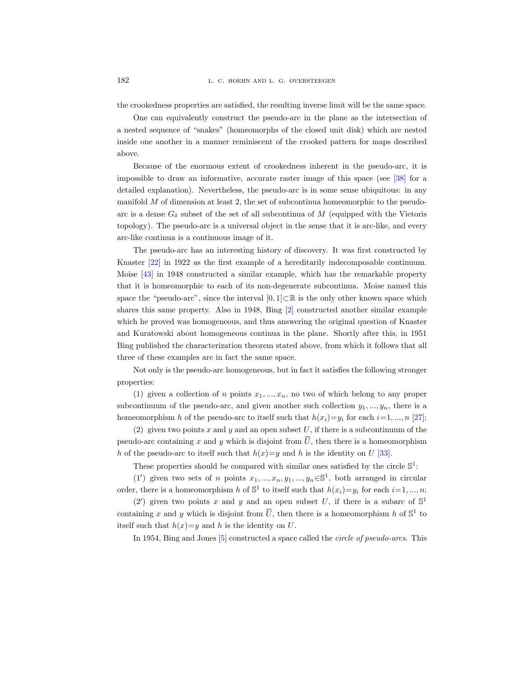the crookedness properties are satisfied, the resulting inverse limit will be the same space.

One can equivalently construct the pseudo-arc in the plane as the intersection of a nested sequence of "snakes" (homeomorphs of the closed unit disk) which are nested inside one another in a manner reminiscent of the crooked pattern for maps described above.

Because of the enormous extent of crookedness inherent in the pseudo-arc, it is impossible to draw an informative, accurate raster image of this space (see [\[38\]](#page-38-14) for a detailed explanation). Nevertheless, the pseudo-arc is in some sense ubiquitous: in any manifold M of dimension at least 2, the set of subcontinua homeomorphic to the pseudoarc is a dense  $G_{\delta}$  subset of the set of all subcontinua of M (equipped with the Vietoris topology). The pseudo-arc is a universal object in the sense that it is arc-like, and every arc-like continua is a continuous image of it.

The pseudo-arc has an interesting history of discovery. It was first constructed by Knaster [\[22\]](#page-38-15) in 1922 as the first example of a hereditarily indecomposable continuum. Moise [\[43\]](#page-38-16) in 1948 constructed a similar example, which has the remarkable property that it is homeomorphic to each of its non-degenerate subcontinua. Moise named this space the "pseudo-arc", since the interval  $[0, 1] \subset \mathbb{R}$  is the only other known space which shares this same property. Also in 1948, Bing [\[2\]](#page-37-3) constructed another similar example which he proved was homogeneous, and thus answering the original question of Knaster and Kuratowski about homogeneous continua in the plane. Shortly after this, in 1951 Bing published the characterization theorem stated above, from which it follows that all three of these examples are in fact the same space.

Not only is the pseudo-arc homogeneous, but in fact it satisfies the following stronger properties:

(1) given a collection of n points  $x_1, ..., x_n$ , no two of which belong to any proper subcontinuum of the pseudo-arc, and given another such collection  $y_1, \ldots, y_n$ , there is a homeomorphism h of the pseudo-arc to itself such that  $h(x_i)=y_i$  for each  $i=1, ..., n$  [\[27\]](#page-38-17);

(2) given two points  $x$  and  $y$  and an open subset  $U$ , if there is a subcontinuum of the pseudo-arc containing x and y which is disjoint from  $\overline{U}$ , then there is a homeomorphism h of the pseudo-arc to itself such that  $h(x)=y$  and h is the identity on U [\[33\]](#page-38-18).

These properties should be compared with similar ones satisfied by the circle  $\mathbb{S}^1$ :

(1') given two sets of n points  $x_1, ..., x_n, y_1, ..., y_n \in \mathbb{S}^1$ , both arranged in circular order, there is a homeomorphism h of  $\mathbb{S}^1$  to itself such that  $h(x_i)=y_i$  for each  $i=1, ..., n$ ;

(2') given two points x and y and an open subset U, if there is a subarc of  $\mathbb{S}^1$ containing x and y which is disjoint from  $\overline{U}$ , then there is a homeomorphism h of  $\mathbb{S}^1$  to itself such that  $h(x)=y$  and h is the identity on U.

In 1954, Bing and Jones [\[5\]](#page-37-4) constructed a space called the *circle of pseudo-arcs*. This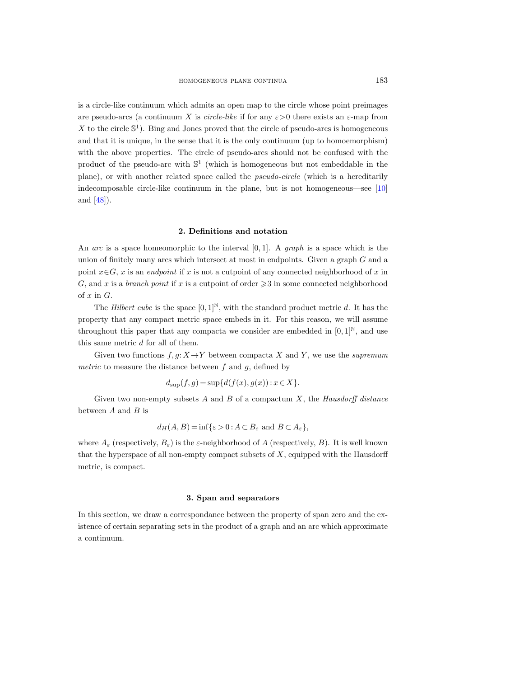is a circle-like continuum which admits an open map to the circle whose point preimages are pseudo-arcs (a continuum X is *circle-like* if for any  $\varepsilon > 0$  there exists an  $\varepsilon$ -map from X to the circle  $\mathbb{S}^1$ ). Bing and Jones proved that the circle of pseudo-arcs is homogeneous and that it is unique, in the sense that it is the only continuum (up to homoemorphism) with the above properties. The circle of pseudo-arcs should not be confused with the product of the pseudo-arc with  $\mathbb{S}^1$  (which is homogeneous but not embeddable in the plane), or with another related space called the *pseudo-circle* (which is a hereditarily indecomposable circle-like continuum in the plane, but is not homogeneous—see [\[10\]](#page-37-5) and [\[48\]](#page-38-3)).

#### 2. Definitions and notation

<span id="page-6-0"></span>An arc is a space homeomorphic to the interval  $[0, 1]$ . A graph is a space which is the union of finitely many arcs which intersect at most in endpoints. Given a graph G and a point  $x \in G$ , x is an endpoint if x is not a cutpoint of any connected neighborhood of x in G, and x is a branch point if x is a cutpoint of order  $\geq 3$  in some connected neighborhood of  $x$  in  $G$ .

The Hilbert cube is the space  $[0,1]^{\mathbb{N}}$ , with the standard product metric d. It has the property that any compact metric space embeds in it. For this reason, we will assume throughout this paper that any compacta we consider are embedded in  $[0,1]^{\mathbb{N}}$ , and use this same metric d for all of them.

Given two functions  $f, g: X \to Y$  between compacta X and Y, we use the supremum metric to measure the distance between  $f$  and  $g$ , defined by

$$
d_{\text{sup}}(f,g) = \sup\{d(f(x),g(x)) : x \in X\}.
$$

Given two non-empty subsets  $A$  and  $B$  of a compactum  $X$ , the Hausdorff distance between  $A$  and  $B$  is

$$
d_H(A, B) = \inf \{ \varepsilon > 0 : A \subset B_{\varepsilon} \text{ and } B \subset A_{\varepsilon} \},
$$

where  $A_{\varepsilon}$  (respectively,  $B_{\varepsilon}$ ) is the  $\varepsilon$ -neighborhood of A (respectively, B). It is well known that the hyperspace of all non-empty compact subsets of  $X$ , equipped with the Hausdorff metric, is compact.

#### 3. Span and separators

<span id="page-6-1"></span>In this section, we draw a correspondance between the property of span zero and the existence of certain separating sets in the product of a graph and an arc which approximate a continuum.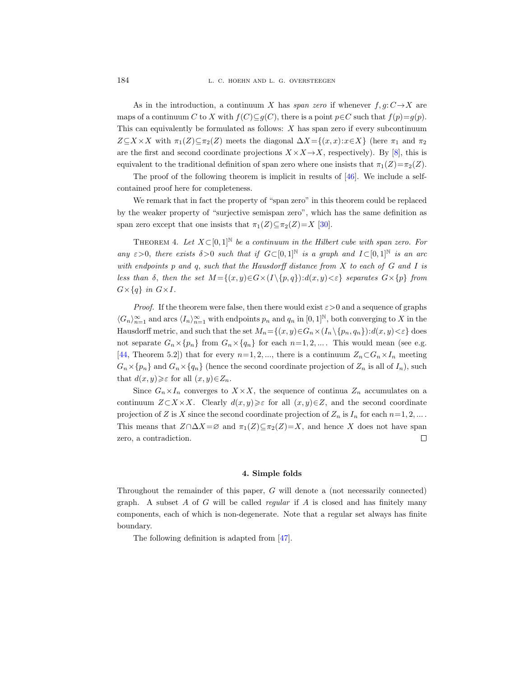As in the introduction, a continuum X has span zero if whenever  $f, g: C \rightarrow X$  are maps of a continuum C to X with  $f(C) \subseteq g(C)$ , there is a point  $p \in C$  such that  $f(p)=g(p)$ . This can equivalently be formulated as follows:  $X$  has span zero if every subcontinuum  $Z\subseteq X\times X$  with  $\pi_1(Z)\subseteq \pi_2(Z)$  meets the diagonal  $\Delta X=\{(x,x):x\in X\}$  (here  $\pi_1$  and  $\pi_2$ ) are the first and second coordinate projections  $X \times X \rightarrow X$ , respectively). By [\[8\]](#page-37-13), this is equivalent to the traditional definition of span zero where one insists that  $\pi_1(Z)=\pi_2(Z)$ .

The proof of the following theorem is implicit in results of  $[46]$ . We include a selfcontained proof here for completeness.

We remark that in fact the property of "span zero" in this theorem could be replaced by the weaker property of "surjective semispan zero", which has the same definition as span zero except that one insists that  $\pi_1(Z) \subseteq \pi_2(Z) = X$  [\[30\]](#page-38-20).

<span id="page-7-2"></span>THEOREM 4. Let  $X \subset [0,1]^{\mathbb{N}}$  be a continuum in the Hilbert cube with span zero. For any  $\varepsilon > 0$ , there exists  $\delta > 0$  such that if  $G \subset [0,1]^{\mathbb{N}}$  is a graph and  $I \subset [0,1]^{\mathbb{N}}$  is an arc with endpoints p and q, such that the Hausdorff distance from X to each of G and I is less than  $\delta$ , then the set  $M = \{(x, y) \in G \times (I \setminus \{p, q\}): d(x, y) < \varepsilon\}$  separates  $G \times \{p\}$  from  $G\times\{q\}$  in  $G\times I$ .

*Proof.* If the theorem were false, then there would exist  $\varepsilon > 0$  and a sequence of graphs  $\langle G_n \rangle_{n=1}^{\infty}$  and arcs  $\langle I_n \rangle_{n=1}^{\infty}$  with endpoints  $p_n$  and  $q_n$  in  $[0,1]^{\mathbb{N}}$ , both converging to X in the Hausdorff metric, and such that the set  $M_n = \{(x, y) \in G_n \times (I_n \setminus \{p_n, q_n\}): d(x, y) < \varepsilon\}$  does not separate  $G_n \times \{p_n\}$  from  $G_n \times \{q_n\}$  for each  $n=1, 2, ...$ . This would mean (see e.g. [\[44,](#page-38-21) Theorem 5.2]) that for every  $n=1, 2, ...$ , there is a continuum  $Z_n \subset G_n \times I_n$  meeting  $G_n \times \{p_n\}$  and  $G_n \times \{q_n\}$  (hence the second coordinate projection of  $Z_n$  is all of  $I_n$ ), such that  $d(x, y) \geqslant \varepsilon$  for all  $(x, y) \in Z_n$ .

Since  $G_n \times I_n$  converges to  $X \times X$ , the sequence of continua  $Z_n$  accumulates on a continuum  $Z\subset X\times X$ . Clearly  $d(x, y)\geqslant \varepsilon$  for all  $(x, y)\in Z$ , and the second coordinate projection of Z is X since the second coordinate projection of  $Z_n$  is  $I_n$  for each  $n=1, 2, ...$ . This means that  $Z \cap \Delta X = \emptyset$  and  $\pi_1(Z) \subseteq \pi_2(Z) = X$ , and hence X does not have span zero, a contradiction.  $\Box$ 

## 4. Simple folds

<span id="page-7-0"></span>Throughout the remainder of this paper, G will denote a (not necessarily connected) graph. A subset  $A$  of  $G$  will be called *regular* if  $A$  is closed and has finitely many components, each of which is non-degenerate. Note that a regular set always has finite boundary.

<span id="page-7-1"></span>The following definition is adapted from [\[47\]](#page-38-22).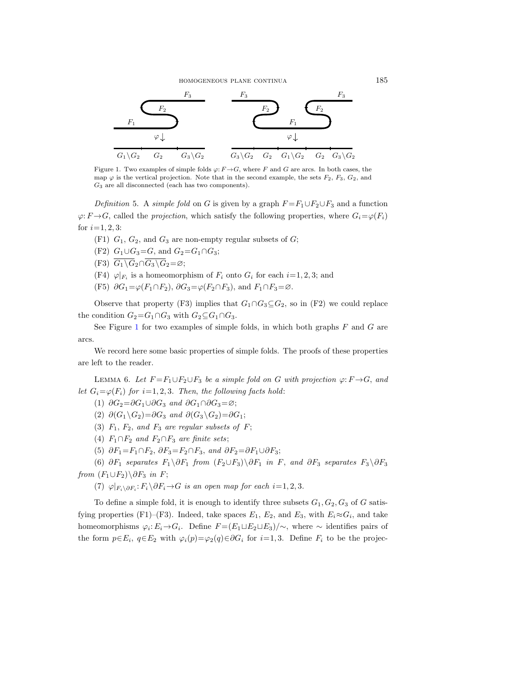### homogeneous plane continua 185



<span id="page-8-0"></span>Figure 1. Two examples of simple folds  $\varphi: F \to G$ , where F and G are arcs. In both cases, the map  $\varphi$  is the vertical projection. Note that in the second example, the sets  $F_2$ ,  $F_3$ ,  $G_2$ , and  $G_3$  are all disconnected (each has two components).

Definition 5. A simple fold on G is given by a graph  $F = F_1 \cup F_2 \cup F_3$  and a function  $\varphi: F \to G$ , called the *projection*, which satisfy the following properties, where  $G_i = \varphi(F_i)$ for  $i=1, 2, 3$ :

- (F1)  $G_1$ ,  $G_2$ , and  $G_3$  are non-empty regular subsets of  $G$ ;
- (F2)  $G_1 \cup G_3 = G$ , and  $G_2 = G_1 \cap G_3$ ;
- (F3)  $\overline{G_1 \backslash G_2} \cap \overline{G_3 \backslash G_2} = \varnothing;$
- (F4)  $\varphi|_{F_i}$  is a homeomorphism of  $F_i$  onto  $G_i$  for each  $i=1, 2, 3$ ; and
- (F5)  $\partial G_1 = \varphi(F_1 \cap F_2)$ ,  $\partial G_3 = \varphi(F_2 \cap F_3)$ , and  $F_1 \cap F_3 = \varnothing$ .

Observe that property (F3) implies that  $G_1 \cap G_3 \subseteq G_2$ , so in (F2) we could replace the condition  $G_2 = G_1 \cap G_3$  with  $G_2 \subseteq G_1 \cap G_3$ .

See Figure [1](#page-8-0) for two examples of simple folds, in which both graphs  $F$  and  $G$  are arcs.

We record here some basic properties of simple folds. The proofs of these properties are left to the reader.

<span id="page-8-1"></span>LEMMA 6. Let  $F = F_1 \cup F_2 \cup F_3$  be a simple fold on G with projection  $\varphi: F \to G$ , and let  $G_i = \varphi(F_i)$  for  $i=1,2,3$ . Then, the following facts hold:

(1)  $\partial G_2 = \partial G_1 \cup \partial G_3$  and  $\partial G_1 \cap \partial G_3 = \varnothing;$ 

(2)  $\partial(G_1 \backslash G_2) = \partial G_3$  and  $\partial(G_3 \backslash G_2) = \partial G_1$ ;

- (3)  $F_1$ ,  $F_2$ , and  $F_3$  are regular subsets of  $F$ ;
- (4)  $F_1 \cap F_2$  and  $F_2 \cap F_3$  are finite sets;
- (5)  $\partial F_1 = F_1 \cap F_2$ ,  $\partial F_3 = F_2 \cap F_3$ , and  $\partial F_2 = \partial F_1 \cup \partial F_3$ ;

(6)  $\partial F_1$  separates  $F_1 \ \partial F_1$  from  $(F_2 \cup F_3) \ \partial F_1$  in F, and  $\partial F_3$  separates  $F_3 \ \partial F_3$ from  $(F_1 \cup F_2) \backslash \partial F_3$  in F;

(7)  $\varphi|_{F_i \setminus \partial F_i}: F_i \setminus \partial F_i \to G$  is an open map for each  $i=1,2,3$ .

To define a simple fold, it is enough to identify three subsets  $G_1, G_2, G_3$  of G satisfying properties (F1)–(F3). Indeed, take spaces  $E_1, E_2$ , and  $E_3$ , with  $E_i \approx G_i$ , and take homeomorphisms  $\varphi_i: E_i \to G_i$ . Define  $F = (E_1 \sqcup E_2 \sqcup E_3)/\sim$ , where  $\sim$  identifies pairs of the form  $p \in E_i$ ,  $q \in E_2$  with  $\varphi_i(p) = \varphi_2(q) \in \partial G_i$  for  $i = 1, 3$ . Define  $F_i$  to be the projec-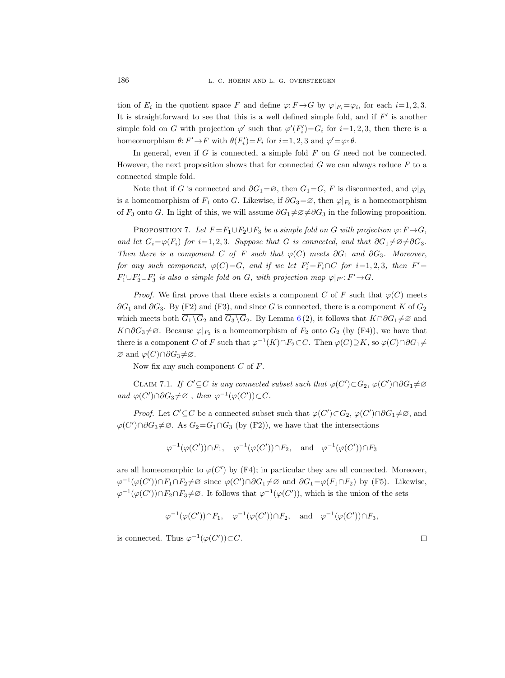tion of  $E_i$  in the quotient space F and define  $\varphi: F \to G$  by  $\varphi|_{F_i} = \varphi_i$ , for each  $i = 1, 2, 3$ . It is straightforward to see that this is a well defined simple fold, and if  $F'$  is another simple fold on G with projection  $\varphi'$  such that  $\varphi'(F_i')=G_i$  for  $i=1,2,3$ , then there is a homeomorphism  $\theta: F' \to F$  with  $\theta(F_i') = F_i$  for  $i = 1, 2, 3$  and  $\varphi' = \varphi \circ \theta$ .

In general, even if  $G$  is connected, a simple fold  $F$  on  $G$  need not be connected. However, the next proposition shows that for connected  $G$  we can always reduce  $F$  to a connected simple fold.

Note that if G is connected and  $\partial G_1 = \emptyset$ , then  $G_1 = G$ , F is disconnected, and  $\varphi|_{F_1}$ is a homeomorphism of  $F_1$  onto G. Likewise, if  $\partial G_3 = \emptyset$ , then  $\varphi|_{F_3}$  is a homeomorphism of  $F_3$  onto G. In light of this, we will assume  $\partial G_1 \neq \emptyset \neq \partial G_3$  in the following proposition.

<span id="page-9-1"></span>PROPOSITION 7. Let  $F = F_1 \cup F_2 \cup F_3$  be a simple fold on G with projection  $\varphi: F \to G$ , and let  $G_i = \varphi(F_i)$  for  $i=1, 2, 3$ . Suppose that G is connected, and that  $\partial G_1 \neq \varnothing \neq \partial G_3$ . Then there is a component C of F such that  $\varphi(C)$  meets  $\partial G_1$  and  $\partial G_3$ . Moreover, for any such component,  $\varphi(C)=G$ , and if we let  $F_i'=F_i\cap C$  for  $i=1,2,3$ , then  $F'=F_i\cap C$  $F_1' \cup F_2' \cup F_3'$  is also a simple fold on G, with projection map  $\varphi|_{F'}: F' \to G$ .

*Proof.* We first prove that there exists a component C of F such that  $\varphi(C)$  meets  $\partial G_1$  and  $\partial G_3$ . By (F2) and (F3), and since G is connected, there is a component K of  $G_2$ which meets both  $G_1 \backslash G_2$  and  $G_3 \backslash G_2$ . By Lemma [6](#page-8-1)(2), it follows that  $K \cap \partial G_1 \neq \emptyset$  and  $K \cap \partial G_3 \neq \emptyset$ . Because  $\varphi|_{F_2}$  is a homeomorphism of  $F_2$  onto  $G_2$  (by (F4)), we have that there is a component C of F such that  $\varphi^{-1}(K) \cap F_2 \subset C$ . Then  $\varphi(C) \supseteq K$ , so  $\varphi(C) \cap \partial G_1 \neq$  $\varnothing$  and  $\varphi$ (C)∩∂G<sub>3</sub>≠ $\varnothing$ .

Now fix any such component  $C$  of  $F$ .

<span id="page-9-0"></span>CLAIM 7.1. If  $C' \subseteq C$  is any connected subset such that  $\varphi(C') \subset G_2$ ,  $\varphi(C') \cap \partial G_1 \neq \varnothing$ and  $\varphi(C') \cap \partial G_3 \neq \emptyset$ , then  $\varphi^{-1}(\varphi(C')) \subset C$ .

*Proof.* Let  $C' \subseteq C$  be a connected subset such that  $\varphi(C') \subset G_2$ ,  $\varphi(C') \cap \partial G_1 \neq \emptyset$ , and  $\varphi(C') \cap \partial G_3 \neq \emptyset$ . As  $G_2 = G_1 \cap G_3$  (by (F2)), we have that the intersections

$$
\varphi^{-1}(\varphi(C')) \cap F_1
$$
,  $\varphi^{-1}(\varphi(C')) \cap F_2$ , and  $\varphi^{-1}(\varphi(C')) \cap F_3$ 

are all homeomorphic to  $\varphi(C')$  by (F4); in particular they are all connected. Moreover,  $\varphi^{-1}(\varphi(C')) \cap F_1 \cap F_2 \neq \varnothing$  since  $\varphi(C') \cap \partial G_1 \neq \varnothing$  and  $\partial G_1 = \varphi(F_1 \cap F_2)$  by (F5). Likewise,  $\varphi^{-1}(\varphi(C')) \cap F_2 \cap F_3 \neq \varnothing$ . It follows that  $\varphi^{-1}(\varphi(C'))$ , which is the union of the sets

$$
\varphi^{-1}(\varphi(C')) \cap F_1
$$
,  $\varphi^{-1}(\varphi(C')) \cap F_2$ , and  $\varphi^{-1}(\varphi(C')) \cap F_3$ ,

is connected. Thus  $\varphi^{-1}(\varphi(C'))\subset C$ .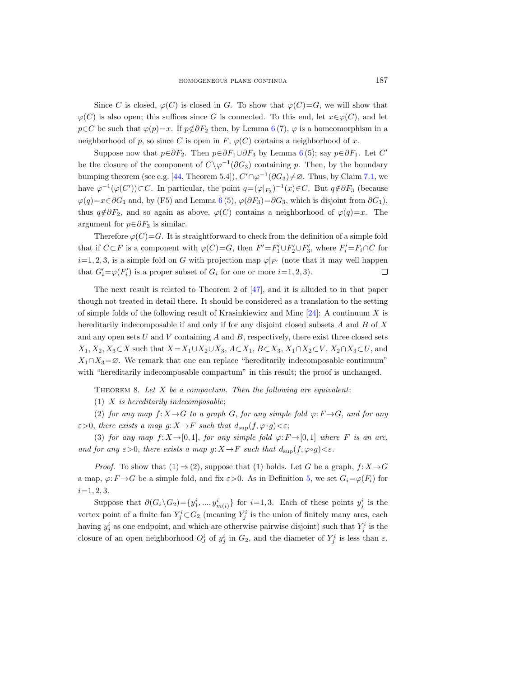Since C is closed,  $\varphi(C)$  is closed in G. To show that  $\varphi(C)=G$ , we will show that  $\varphi(C)$  is also open; this suffices since G is connected. To this end, let  $x \in \varphi(C)$ , and let  $p \in C$  be such that  $\varphi(p)=x$ . If  $p \notin \partial F_2$  then, by Lemma [6](#page-8-1) (7),  $\varphi$  is a homeomorphism in a neighborhood of p, so since C is open in F,  $\varphi(C)$  contains a neighborhood of x.

Suppose now that  $p \in \partial F_2$ . Then  $p \in \partial F_1 \cup \partial F_3$  by Lemma [6](#page-8-1)(5); say  $p \in \partial F_1$ . Let C' be the closure of the component of  $C\backslash\varphi^{-1}(\partial G_3)$  containing p. Then, by the boundary bumping theorem (see e.g. [\[44,](#page-38-21) Theorem 5.4]),  $C' \cap \varphi^{-1}(\partial G_3) \neq \emptyset$ . Thus, by Claim [7.1,](#page-9-0) we have  $\varphi^{-1}(\varphi(C'))\subset C$ . In particular, the point  $q=(\varphi|_{F_3})^{-1}(x)\in C$ . But  $q\notin\partial F_3$  (because  $\varphi(q)=x\in\partial G_1$  and, by (F5) and Lemma [6](#page-8-1) (5),  $\varphi(\partial F_3)=\partial G_3$ , which is disjoint from  $\partial G_1$ ), thus  $q \notin \partial F_2$ , and so again as above,  $\varphi(C)$  contains a neighborhood of  $\varphi(q)=x$ . The argument for  $p \in \partial F_3$  is similar.

Therefore  $\varphi(C)=G$ . It is straightforward to check from the definition of a simple fold that if  $C \subset F$  is a component with  $\varphi(C)=G$ , then  $F' = F'_1 \cup F'_2 \cup F'_3$ , where  $F'_i = F_i \cap C$  for  $i=1, 2, 3$ , is a simple fold on G with projection map  $\varphi|_{F'}$  (note that it may well happen that  $G_i' = \varphi(F_i')$  is a proper subset of  $G_i$  for one or more  $i = 1, 2, 3$ .  $\Box$ 

The next result is related to Theorem 2 of  $[47]$ , and it is alluded to in that paper though not treated in detail there. It should be considered as a translation to the setting of simple folds of the following result of Krasinkiewicz and Minc  $[24]$ : A continuum X is hereditarily indecomposable if and only if for any disjoint closed subsets  $A$  and  $B$  of  $X$ and any open sets  $U$  and  $V$  containing  $A$  and  $B$ , respectively, there exist three closed sets  $X_1, X_2, X_3\subset X$  such that  $X=X_1\cup X_2\cup X_3$ ,  $A\subset X_1$ ,  $B\subset X_3$ ,  $X_1\cap X_2\subset V$ ,  $X_2\cap X_3\subset U$ , and  $X_1 \cap X_3 = \emptyset$ . We remark that one can replace "hereditarily indecomposable continuum" with "hereditarily indecomposable compactum" in this result; the proof is unchanged.

<span id="page-10-0"></span>THEOREM 8. Let  $X$  be a compactum. Then the following are equivalent:

(1)  $X$  is hereditarily indecomposable;

(2) for any map  $f: X \rightarrow G$  to a graph G, for any simple fold  $\varphi: F \rightarrow G$ , and for any  $\varepsilon > 0$ , there exists a map  $g: X \to F$  such that  $d_{\text{sup}}(f, \varphi \circ g) < \varepsilon$ ;

(3) for any map  $f: X \rightarrow [0, 1]$ , for any simple fold  $\varphi: F \rightarrow [0, 1]$  where F is an arc, and for any  $\varepsilon > 0$ , there exists a map  $g: X \to F$  such that  $d_{\text{sup}}(f, \varphi \circ g) < \varepsilon$ .

*Proof.* To show that  $(1) \Rightarrow (2)$ , suppose that  $(1)$  holds. Let G be a graph,  $f: X \rightarrow G$ a map,  $\varphi: F \to G$  be a simple fold, and fix  $\varepsilon > 0$ . As in Definition [5,](#page-7-1) we set  $G_i = \varphi(F_i)$  for  $i=1, 2, 3.$ 

Suppose that  $\partial(G_i \backslash G_2) = \{y_1^i, ..., y_{m(i)}^i\}$  for  $i=1,3$ . Each of these points  $y_j^i$  is the vertex point of a finite fan  $Y_j^i$   $\subset$   $G_2$  (meaning  $Y_j^i$  is the union of finitely many arcs, each having  $y_j^i$  as one endpoint, and which are otherwise pairwise disjoint) such that  $Y_j^i$  is the closure of an open neighborhood  $O_j^i$  of  $y_j^i$  in  $G_2$ , and the diameter of  $Y_j^i$  is less than  $\varepsilon$ .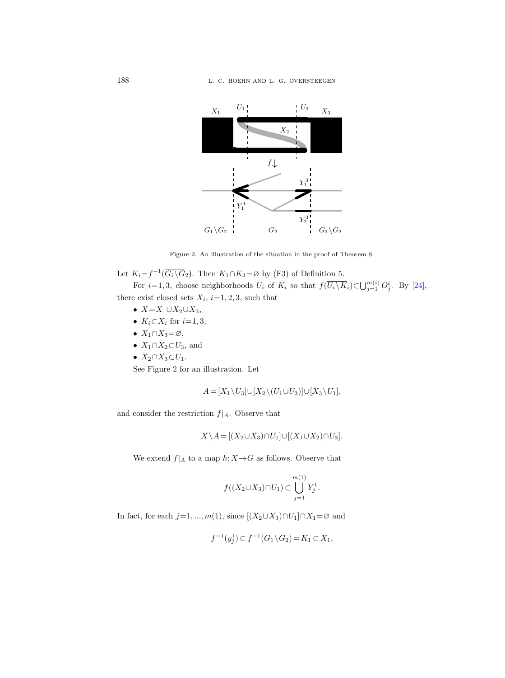

<span id="page-11-0"></span>Figure 2. An illustration of the situation in the proof of Theorem [8.](#page-10-0)

Let  $K_i = f^{-1}(\overline{G_i \setminus G_2})$ . Then  $K_1 \cap K_3 = \emptyset$  by (F3) of Definition [5.](#page-7-1)

For  $i=1,3$ , choose neighborhoods  $U_i$  of  $K_i$  so that  $f(\overline{U_i \setminus K_i}) \subset \bigcup_{j=1}^{m(i)} O_j^i$ . By [\[24\]](#page-38-23), there exist closed sets  $X_i$ ,  $i=1, 2, 3$ , such that

- $X=X_1\cup X_2\cup X_3$ ,
- $K_i \subset X_i$  for  $i=1,3$ ,
- $X_1 \cap X_3 = \emptyset$ ,
- $X_1 \cap X_2 \subset U_3$ , and
- $X_2 \cap X_3 \subset U_1$ .

See Figure [2](#page-11-0) for an illustration. Let

$$
A = [X_1 \setminus U_3] \cup [X_2 \setminus (U_1 \cup U_3)] \cup [X_3 \setminus U_1],
$$

and consider the restriction  $f|_A$ . Observe that

$$
X \setminus A = [(X_2 \cup X_3) \cap U_1] \cup [(X_1 \cup X_2) \cap U_3].
$$

We extend  $f|_A$  to a map  $h: X \rightarrow G$  as follows. Observe that

$$
f((X_2 \cup X_3) \cap U_1) \subset \bigcup_{j=1}^{m(1)} Y_j^1.
$$

In fact, for each  $j=1, ..., m(1)$ , since  $[(X_2 \cup X_3) \cap U_1] \cap X_1 = \emptyset$  and

$$
f^{-1}(y_j^1) \subset f^{-1}(\overline{G_1 \setminus G_2}) = K_1 \subset X_1,
$$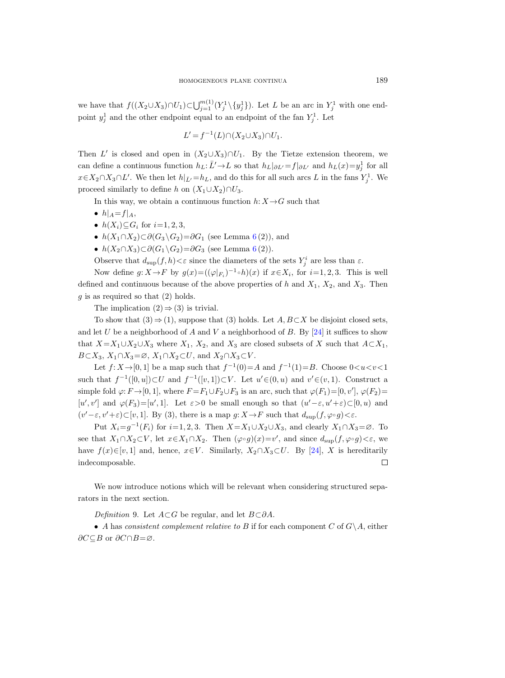we have that  $f((X_2 \cup X_3) \cap U_1) \subset \bigcup_{j=1}^{m(1)} (Y_j^1 \setminus \{y_j^1\})$ . Let L be an arc in  $Y_j^1$  with one endpoint  $y_j^1$  and the other endpoint equal to an endpoint of the fan  $Y_j^1$ . Let

$$
L'=f^{-1}(L)\cap (X_2\cup X_3)\cap U_1.
$$

Then L' is closed and open in  $(X_2 \cup X_3) \cap U_1$ . By the Tietze extension theorem, we can define a continuous function  $h_L: \bar{L}' \to L$  so that  $h_L|_{\partial L'} = f|_{\partial L'}$  and  $h_L(x) = y_j^1$  for all  $x \in X_2 \cap X_3 \cap L'$ . We then let  $h|_{\bar{L}'} = h_L$ , and do this for all such arcs L in the fans  $Y_j^1$ . We proceed similarly to define h on  $(X_1 \cup X_2) \cap U_3$ .

In this way, we obtain a continuous function  $h: X \rightarrow G$  such that

- $h|_A = f|_A$ ,
- $h(X_i) \subseteq G_i$  for  $i=1, 2, 3$ ,
- $h(X_1 \cap X_2) \subset \partial(G_3 \backslash G_2) = \partial G_1$  (see Lemma [6](#page-8-1)(2)), and
- $h(X_2 \cap X_3) \subset \partial(G_1 \setminus G_2) = \partial G_3$  (see Lemma [6](#page-8-1)(2)).

Observe that  $d_{\text{sup}}(f, h) < \varepsilon$  since the diameters of the sets  $Y_j^i$  are less than  $\varepsilon$ .

Now define  $g: X \to F$  by  $g(x) = ((\varphi|_{F_i})^{-1} \circ h)(x)$  if  $x \in X_i$ , for  $i = 1, 2, 3$ . This is well defined and continuous because of the above properties of h and  $X_1$ ,  $X_2$ , and  $X_3$ . Then  $g$  is as required so that  $(2)$  holds.

The implication  $(2) \Rightarrow (3)$  is trivial.

To show that  $(3) \Rightarrow (1)$ , suppose that  $(3)$  holds. Let  $A, B \subset X$  be disjoint closed sets, and let U be a neighborhood of A and V a neighborhood of B. By  $[24]$  it suffices to show that  $X=X_1\cup X_2\cup X_3$  where  $X_1, X_2$ , and  $X_3$  are closed subsets of X such that  $A\subset X_1$ ,  $B\subset X_3, X_1\cap X_3=\emptyset, X_1\cap X_2\subset U$ , and  $X_2\cap X_3\subset V$ .

Let  $f: X \to [0, 1]$  be a map such that  $f^{-1}(0) = A$  and  $f^{-1}(1) = B$ . Choose  $0 < u < v < 1$ such that  $f^{-1}([0, u]) \subset U$  and  $f^{-1}([v, 1]) \subset V$ . Let  $u' \in (0, u)$  and  $v' \in (v, 1)$ . Construct a simple fold  $\varphi: F \to [0, 1]$ , where  $F = F_1 \cup F_2 \cup F_3$  is an arc, such that  $\varphi(F_1) = [0, v']$ ,  $\varphi(F_2) =$ [u', v'] and  $\varphi(F_3) = [u', 1]$ . Let  $\varepsilon > 0$  be small enough so that  $(u' - \varepsilon, u' + \varepsilon) \subset [0, u)$  and  $(v'-\varepsilon, v'+\varepsilon) \subset [v, 1]$ . By (3), there is a map  $g: X \to F$  such that  $d_{\text{sup}}(f, \varphi \circ g) < \varepsilon$ .

Put  $X_i = g^{-1}(F_i)$  for  $i=1, 2, 3$ . Then  $X = X_1 \cup X_2 \cup X_3$ , and clearly  $X_1 \cap X_3 = \emptyset$ . To see that  $X_1 \cap X_2 \subset V$ , let  $x \in X_1 \cap X_2$ . Then  $(\varphi \circ g)(x) = v'$ , and since  $d_{\text{sup}}(f, \varphi \circ g) < \varepsilon$ , we have  $f(x) \in [v, 1]$  and, hence,  $x \in V$ . Similarly,  $X_2 \cap X_3 \subset U$ . By [\[24\]](#page-38-23), X is hereditarily indecomposable. П

We now introduce notions which will be relevant when considering structured separators in the next section.

<span id="page-12-0"></span>Definition 9. Let  $A\subset G$  be regular, and let  $B\subset \partial A$ .

• A has consistent complement relative to B if for each component C of  $G \backslash A$ , either  $\partial C \subseteq B$  or  $\partial C \cap B = \varnothing$ .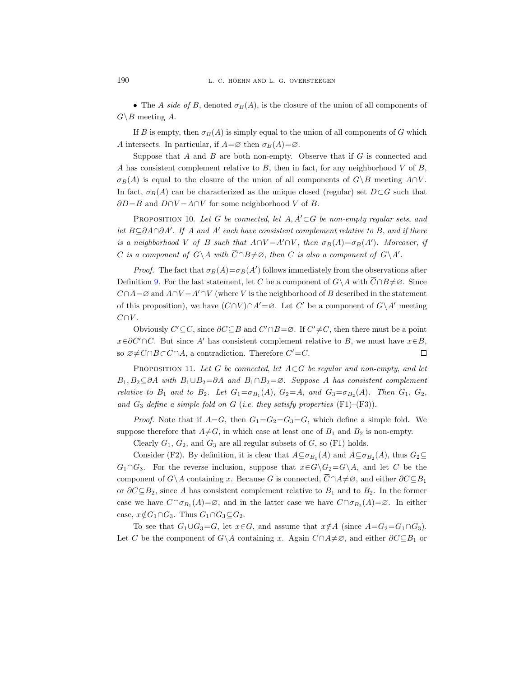• The A side of B, denoted  $\sigma_B(A)$ , is the closure of the union of all components of  $G \backslash B$  meeting A.

If B is empty, then  $\sigma_B(A)$  is simply equal to the union of all components of G which A intersects. In particular, if  $A = \emptyset$  then  $\sigma_B(A) = \emptyset$ .

Suppose that  $A$  and  $B$  are both non-empty. Observe that if  $G$  is connected and A has consistent complement relative to  $B$ , then in fact, for any neighborhood  $V$  of  $B$ ,  $\sigma_B(A)$  is equal to the closure of the union of all components of  $G\setminus B$  meeting  $A\cap V$ . In fact,  $\sigma_B(A)$  can be characterized as the unique closed (regular) set  $D\subset G$  such that  $\partial D = B$  and  $D \cap V = A \cap V$  for some neighborhood V of B.

<span id="page-13-0"></span>PROPOSITION 10. Let G be connected, let  $A, A' \subset G$  be non-empty regular sets, and let  $B \subseteq \partial A \cap \partial A'$ . If A and A' each have consistent complement relative to B, and if there is a neighborhood V of B such that  $A \cap V = A' \cap V$ , then  $\sigma_B(A) = \sigma_B(A')$ . Moreover, if C is a component of  $G \backslash A$  with  $\overline{C} \cap B \neq \emptyset$ , then C is also a component of  $G \backslash A'$ .

*Proof.* The fact that  $\sigma_B(A) = \sigma_B(A')$  follows immediately from the observations after Definition [9.](#page-12-0) For the last statement, let C be a component of  $G \setminus A$  with  $\overline{C} \cap B \neq \emptyset$ . Since  $C \cap A = \emptyset$  and  $A \cap V = A' \cap V$  (where V is the neighborhood of B described in the statement of this proposition), we have  $(C \cap V) \cap A' = \emptyset$ . Let C' be a component of  $G \setminus A'$  meeting  $C \cap V$ .

Obviously  $C' \subseteq C$ , since  $\partial C \subseteq B$  and  $C' \cap B = \emptyset$ . If  $C' \neq C$ , then there must be a point  $x\in\partial C'\cap C$ . But since A' has consistent complement relative to B, we must have  $x\in B$ , so  $\emptyset \neq C \cap B \subset C \cap A$ , a contradiction. Therefore  $C' = C$ .  $\Box$ 

<span id="page-13-1"></span>PROPOSITION 11. Let G be connected, let  $A \subset G$  be regular and non-empty, and let  $B_1, B_2 \subseteq \partial A$  with  $B_1 \cup B_2 = \partial A$  and  $B_1 \cap B_2 = \emptyset$ . Suppose A has consistent complement relative to  $B_1$  and to  $B_2$ . Let  $G_1 = \sigma_{B_1}(A)$ ,  $G_2 = A$ , and  $G_3 = \sigma_{B_2}(A)$ . Then  $G_1$ ,  $G_2$ , and  $G_3$  define a simple fold on G (i.e. they satisfy properties  $(F1)$ – $(F3)$ ).

*Proof.* Note that if  $A=G$ , then  $G_1=G_2=G_3=G$ , which define a simple fold. We suppose therefore that  $A \neq G$ , in which case at least one of  $B_1$  and  $B_2$  is non-empty.

Clearly  $G_1, G_2$ , and  $G_3$  are all regular subsets of  $G$ , so  $(F1)$  holds.

Consider (F2). By definition, it is clear that  $A \subseteq \sigma_{B_1}(A)$  and  $A \subseteq \sigma_{B_2}(A)$ , thus  $G_2 \subseteq$  $G_1 \cap G_3$ . For the reverse inclusion, suppose that  $x \in G \setminus G_2 = G \setminus A$ , and let C be the component of  $G \setminus A$  containing x. Because G is connected,  $\overline{C} \cap A \neq \emptyset$ , and either  $\partial C \subseteq B_1$ or  $\partial C \subseteq B_2$ , since A has consistent complement relative to  $B_1$  and to  $B_2$ . In the former case we have  $C \cap \sigma_{B_1}(A) = \emptyset$ , and in the latter case we have  $C \cap \sigma_{B_2}(A) = \emptyset$ . In either case,  $x \notin G_1 \cap G_3$ . Thus  $G_1 \cap G_3 \subseteq G_2$ .

To see that  $G_1 \cup G_3 = G$ , let  $x \in G$ , and assume that  $x \notin A$  (since  $A = G_2 = G_1 \cap G_3$ ). Let C be the component of  $G \setminus A$  containing x. Again  $\overline{C} \cap A \neq \emptyset$ , and either  $\partial C \subseteq B_1$  or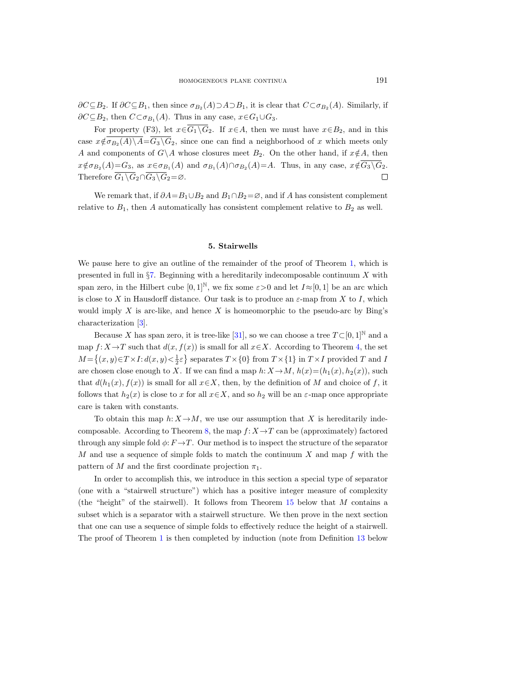$\partial C \subseteq B_2$ . If  $\partial C \subseteq B_1$ , then since  $\sigma_{B_2}(A) \supset A \supset B_1$ , it is clear that  $C \subset \sigma_{B_2}(A)$ . Similarly, if  $\partial C \subseteq B_2$ , then  $C \subset \sigma_{B_1}(A)$ . Thus in any case,  $x \in G_1 \cup G_3$ .

For property (F3), let  $x \in \overline{G_1 \setminus G_2}$ . If  $x \in A$ , then we must have  $x \in B_2$ , and in this case  $x \notin \sigma_{B_2}(A) \backslash A = G_3 \backslash G_2$ , since one can find a neighborhood of x which meets only A and components of  $G\setminus A$  whose closures meet  $B_2$ . On the other hand, if  $x \notin A$ , then  $x \notin \sigma_{B_2}(A) = G_3$ , as  $x \in \sigma_{B_1}(A)$  and  $\sigma_{B_1}(A) \cap \sigma_{B_2}(A) = A$ . Thus, in any case,  $x \notin G_3 \backslash G_2$ . Therefore  $\overline{G_1 \backslash G_2} \cap \overline{G_3 \backslash G_2} = \emptyset$ .  $\Box$ 

We remark that, if  $\partial A = B_1 \cup B_2$  and  $B_1 \cap B_2 = \emptyset$ , and if A has consistent complement relative to  $B_1$ , then A automatically has consistent complement relative to  $B_2$  as well.

#### 5. Stairwells

<span id="page-14-0"></span>We pause here to give an outline of the remainder of the proof of Theorem [1,](#page-3-1) which is presented in full in  $\S7$ . Beginning with a hereditarily indecomposable continuum X with span zero, in the Hilbert cube  $[0, 1]^{\mathbb{N}}$ , we fix some  $\varepsilon > 0$  and let  $I \approx [0, 1]$  be an arc which is close to X in Hausdorff distance. Our task is to produce an  $\varepsilon$ -map from X to I, which would imply  $X$  is arc-like, and hence  $X$  is homeomorphic to the pseudo-arc by Bing's characterization [\[3\]](#page-37-12).

Because X has span zero, it is tree-like [\[31\]](#page-38-24), so we can choose a tree  $T \subset [0, 1]^{\mathbb{N}}$  and a map  $f: X \rightarrow T$  such that  $d(x, f(x))$  is small for all  $x \in X$ . According to Theorem [4,](#page-7-2) the set  $M = \{(x, y) \in T \times I : d(x, y) < \frac{1}{2}\varepsilon\}$  separates  $T \times \{0\}$  from  $T \times \{1\}$  in  $T \times I$  provided T and I are chosen close enough to X. If we can find a map  $h: X \to M$ ,  $h(x)=(h_1(x), h_2(x))$ , such that  $d(h_1(x), f(x))$  is small for all  $x \in X$ , then, by the definition of M and choice of f, it follows that  $h_2(x)$  is close to x for all  $x \in X$ , and so  $h_2$  will be an  $\varepsilon$ -map once appropriate care is taken with constants.

To obtain this map  $h: X \to M$ , we use our assumption that X is hereditarily inde-composable. According to Theorem [8,](#page-10-0) the map  $f: X \to T$  can be (approximately) factored through any simple fold  $\phi: F \to T$ . Our method is to inspect the structure of the separator M and use a sequence of simple folds to match the continuum  $X$  and map  $f$  with the pattern of M and the first coordinate projection  $\pi_1$ .

In order to accomplish this, we introduce in this section a special type of separator (one with a "stairwell structure") which has a positive integer measure of complexity (the "height" of the stairwell). It follows from Theorem [15](#page-17-0) below that M contains a subset which is a separator with a stairwell structure. We then prove in the next section that one can use a sequence of simple folds to effectively reduce the height of a stairwell. The proof of Theorem [1](#page-3-1) is then completed by induction (note from Definition [13](#page-15-0) below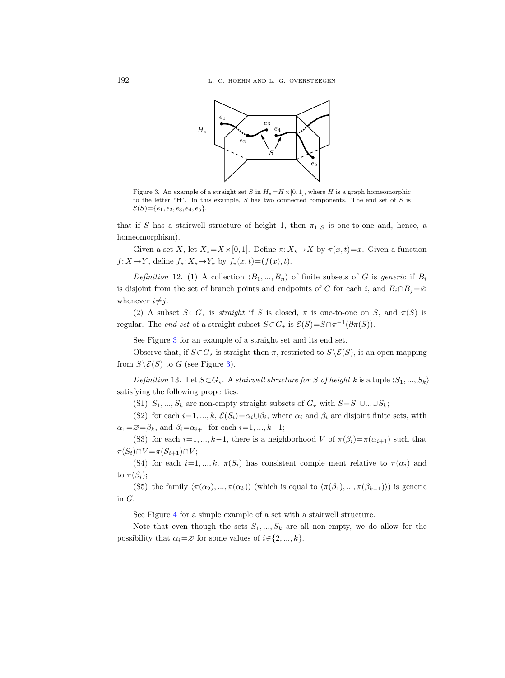

<span id="page-15-1"></span>Figure 3. An example of a straight set S in  $H_{\star} = H \times [0, 1]$ , where H is a graph homeomorphic to the letter "H". In this example, S has two connected components. The end set of S is  $\mathcal{E}(S) = \{e_1, e_2, e_3, e_4, e_5\}.$ 

that if S has a stairwell structure of height 1, then  $\pi_1|_S$  is one-to-one and, hence, a homeomorphism).

Given a set X, let  $X_* = X \times [0, 1]$ . Define  $\pi: X_* \to X$  by  $\pi(x, t) = x$ . Given a function  $f: X \to Y$ , define  $f_{\star}: X_{\star} \to Y_{\star}$  by  $f_{\star}(x, t) = (f(x), t)$ .

Definition 12. (1) A collection  $\langle B_1, ..., B_n \rangle$  of finite subsets of G is generic if  $B_i$ is disjoint from the set of branch points and endpoints of G for each i, and  $B_i \cap B_j = \emptyset$ whenever  $i \neq j$ .

(2) A subset  $S \subset G_{\star}$  is straight if S is closed,  $\pi$  is one-to-one on S, and  $\pi(S)$  is regular. The *end set* of a straight subset  $S \subset G_{\star}$  is  $\mathcal{E}(S) = S \cap \pi^{-1}(\partial \pi(S)).$ 

See Figure [3](#page-15-1) for an example of a straight set and its end set.

Observe that, if  $S \subset G_{\star}$  is straight then  $\pi$ , restricted to  $S \setminus \mathcal{E}(S)$ , is an open mapping from  $S \backslash \mathcal{E}(S)$  to G (see Figure [3\)](#page-15-1).

<span id="page-15-0"></span>Definition 13. Let  $S \subset G_{\star}$ . A stairwell structure for S of height k is a tuple  $\langle S_1, ..., S_k \rangle$ satisfying the following properties:

(S1)  $S_1, ..., S_k$  are non-empty straight subsets of  $G_{\star}$  with  $S=S_1\cup ... \cup S_k$ ;

(S2) for each  $i=1, ..., k$ ,  $\mathcal{E}(S_i) = \alpha_i \cup \beta_i$ , where  $\alpha_i$  and  $\beta_i$  are disjoint finite sets, with  $\alpha_1=\emptyset=\beta_k$ , and  $\beta_i=\alpha_{i+1}$  for each  $i=1, ..., k-1$ ;

(S3) for each  $i=1, ..., k-1$ , there is a neighborhood V of  $\pi(\beta_i)=\pi(\alpha_{i+1})$  such that  $\pi(S_i) \cap V = \pi(S_{i+1}) \cap V;$ 

(S4) for each  $i=1, ..., k$ ,  $\pi(S_i)$  has consistent comple ment relative to  $\pi(\alpha_i)$  and to  $\pi(\beta_i)$ ;

(S5) the family  $\langle \pi(\alpha_2), ..., \pi(\alpha_k) \rangle$  (which is equal to  $\langle \pi(\beta_1), ..., \pi(\beta_{k-1}) \rangle$ ) is generic in G.

See Figure [4](#page-16-0) for a simple example of a set with a stairwell structure.

Note that even though the sets  $S_1, ..., S_k$  are all non-empty, we do allow for the possibility that  $\alpha_i = \emptyset$  for some values of  $i \in \{2, ..., k\}.$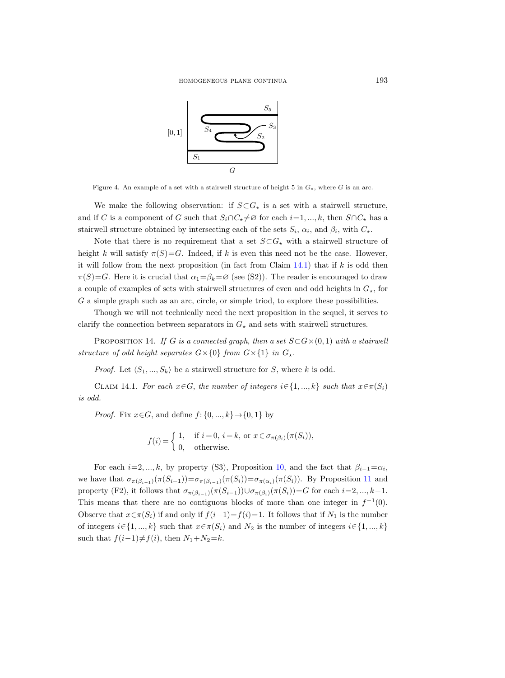

<span id="page-16-0"></span>Figure 4. An example of a set with a stairwell structure of height 5 in  $G<sub>\star</sub>$ , where G is an arc.

We make the following observation: if  $S \subset G_{\star}$  is a set with a stairwell structure, and if C is a component of G such that  $S_i \cap C_{\star} \neq \emptyset$  for each  $i=1, ..., k$ , then  $S \cap C_{\star}$  has a stairwell structure obtained by intersecting each of the sets  $S_i$ ,  $\alpha_i$ , and  $\beta_i$ , with  $C_{\star}$ .

Note that there is no requirement that a set  $S\subset G_{\star}$  with a stairwell structure of height k will satisfy  $\pi(S)=G$ . Indeed, if k is even this need not be the case. However, it will follow from the next proposition (in fact from Claim  $14.1$ ) that if k is odd then  $\pi(S)=G$ . Here it is crucial that  $\alpha_1=\beta_k=\varnothing$  (see (S2)). The reader is encouraged to draw a couple of examples of sets with stairwell structures of even and odd heights in  $G<sub>\star</sub>$ , for G a simple graph such as an arc, circle, or simple triod, to explore these possibilities.

Though we will not technically need the next proposition in the sequel, it serves to clarify the connection between separators in  $G_{\star}$  and sets with stairwell structures.

<span id="page-16-2"></span>PROPOSITION 14. If G is a connected graph, then a set  $S\subset G\times(0,1)$  with a stairwell structure of odd height separates  $G \times \{0\}$  from  $G \times \{1\}$  in  $G_{\star}$ .

*Proof.* Let  $\langle S_1, ..., S_k \rangle$  be a stairwell structure for S, where k is odd.

<span id="page-16-1"></span>CLAIM 14.1. For each  $x \in G$ , the number of integers  $i \in \{1, ..., k\}$  such that  $x \in \pi(S_i)$ is odd.

*Proof.* Fix  $x \in G$ , and define  $f: \{0, ..., k\} \rightarrow \{0, 1\}$  by

$$
f(i) = \begin{cases} 1, & \text{if } i = 0, i = k, \text{ or } x \in \sigma_{\pi(\beta_i)}(\pi(S_i)), \\ 0, & \text{otherwise.} \end{cases}
$$

For each  $i=2, ..., k$ , by property (S3), Proposition [10,](#page-13-0) and the fact that  $\beta_{i-1} = \alpha_i$ , we have that  $\sigma_{\pi(\beta_{i-1})}(\pi(S_{i-1}))=\sigma_{\pi(\beta_{i-1})}(\pi(S_i))=\sigma_{\pi(\alpha_i)}(\pi(S_i))$ . By Proposition [11](#page-13-1) and property (F2), it follows that  $\sigma_{\pi(\beta_{i-1})}(\pi(S_{i-1}))\cup \sigma_{\pi(\beta_i)}(\pi(S_i))=G$  for each  $i=2,\ldots,k-1$ . This means that there are no contiguous blocks of more than one integer in  $f^{-1}(0)$ . Observe that  $x \in \pi(S_i)$  if and only if  $f(i-1)=f(i)=1$ . It follows that if  $N_1$  is the number of integers  $i \in \{1, ..., k\}$  such that  $x \in \pi(S_i)$  and  $N_2$  is the number of integers  $i \in \{1, ..., k\}$ such that  $f(i-1) \neq f(i)$ , then  $N_1+N_2=k$ .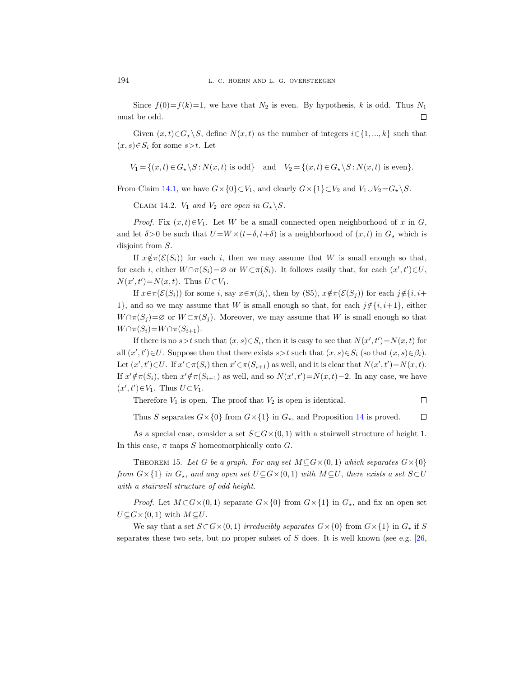Since  $f(0)=f(k)=1$ , we have that  $N_2$  is even. By hypothesis, k is odd. Thus  $N_1$ must be odd.  $\Box$ 

Given  $(x, t) \in G_{\star} \backslash S$ , define  $N(x, t)$  as the number of integers  $i \in \{1, ..., k\}$  such that  $(x, s) \in S_i$  for some  $s > t$ . Let

$$
V_1 = \{(x, t) \in G_\star \setminus S : N(x, t) \text{ is odd}\} \text{ and } V_2 = \{(x, t) \in G_\star \setminus S : N(x, t) \text{ is even}\}.
$$

From Claim [14.1,](#page-16-1) we have  $G \times \{0\} \subset V_1$ , and clearly  $G \times \{1\} \subset V_2$  and  $V_1 \cup V_2 = G_* \backslash S$ .

CLAIM 14.2.  $V_1$  and  $V_2$  are open in  $G_{\star} \backslash S$ .

*Proof.* Fix  $(x, t) \in V_1$ . Let W be a small connected open neighborhood of x in G, and let  $\delta > 0$  be such that  $U = W \times (t - \delta, t + \delta)$  is a neighborhood of  $(x, t)$  in  $G_{\star}$  which is disjoint from S.

If  $x \notin \pi(\mathcal{E}(S_i))$  for each i, then we may assume that W is small enough so that, for each *i*, either  $W \cap \pi(S_i) = \emptyset$  or  $W \subset \pi(S_i)$ . It follows easily that, for each  $(x', t') \in U$ ,  $N(x', t') = N(x, t)$ . Thus  $U \subset V_1$ .

If  $x \in \pi(\mathcal{E}(S_i))$  for some i, say  $x \in \pi(\beta_i)$ , then by (S5),  $x \notin \pi(\mathcal{E}(S_i))$  for each  $j \notin \{i, i+\}$ 1}, and so we may assume that W is small enough so that, for each  $j \notin \{i, i+1\}$ , either  $W \cap \pi(S_i) = \emptyset$  or  $W \subset \pi(S_i)$ . Moreover, we may assume that W is small enough so that  $W \cap \pi(S_i) = W \cap \pi(S_{i+1}).$ 

If there is no  $s > t$  such that  $(x, s) \in S_i$ , then it is easy to see that  $N(x', t') = N(x, t)$  for all  $(x', t') \in U$ . Suppose then that there exists  $s > t$  such that  $(x, s) \in S_i$  (so that  $(x, s) \in \beta_i$ ). Let  $(x', t') \in U$ . If  $x' \in \pi(S_i)$  then  $x' \in \pi(S_{i+1})$  as well, and it is clear that  $N(x', t') = N(x, t)$ . If  $x' \notin \pi(S_i)$ , then  $x' \notin \pi(S_{i+1})$  as well, and so  $N(x', t') = N(x, t) - 2$ . In any case, we have  $(x', t') \in V_1$ . Thus  $U \subset V_1$ .

Therefore  $V_1$  is open. The proof that  $V_2$  is open is identical.

Thus S separates  $G \times \{0\}$  from  $G \times \{1\}$  in  $G_{\star}$ , and Proposition [14](#page-16-2) is proved.  $\Box$ 

 $\Box$ 

As a special case, consider a set  $S\subset G\times(0,1)$  with a stairwell structure of height 1. In this case,  $\pi$  maps S homeomorphically onto G.

<span id="page-17-0"></span>THEOREM 15. Let G be a graph. For any set  $M \subseteq G \times (0, 1)$  which separates  $G \times \{0\}$ from  $G \times \{1\}$  in  $G_x$ , and any open set  $U \subseteq G \times (0, 1)$  with  $M \subseteq U$ , there exists a set  $S \subset U$ with a stairwell structure of odd height.

*Proof.* Let  $M\subset G\times (0,1)$  separate  $G\times \{0\}$  from  $G\times \{1\}$  in  $G_{\star}$ , and fix an open set  $U \subseteq G \times (0, 1)$  with  $M \subseteq U$ .

We say that a set  $S\subset G\times (0,1)$  irreducibly separates  $G\times \{0\}$  from  $G\times \{1\}$  in  $G_*$  if S separates these two sets, but no proper subset of  $S$  does. It is well known (see e.g. [\[26,](#page-38-25)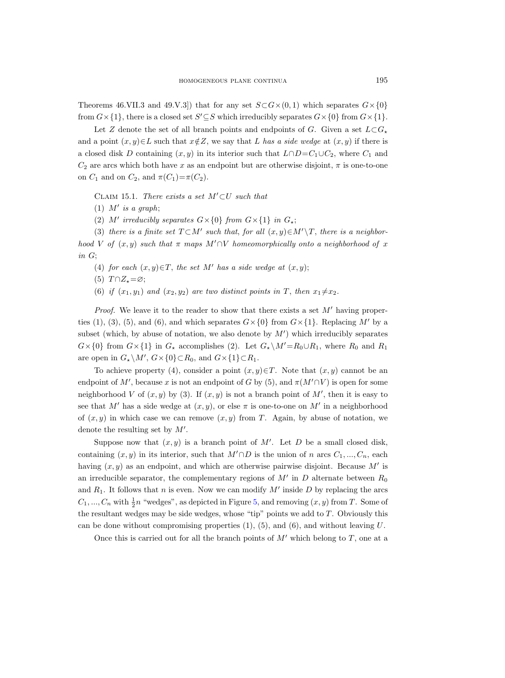Theorems 46.VII.3 and 49.V.3]) that for any set  $S\subset G\times (0,1)$  which separates  $G\times \{0\}$ from  $G \times \{1\}$ , there is a closed set  $S' \subseteq S$  which irreducibly separates  $G \times \{0\}$  from  $G \times \{1\}$ .

Let Z denote the set of all branch points and endpoints of G. Given a set  $L\subset G_{\star}$ and a point  $(x, y) \in L$  such that  $x \notin Z$ , we say that L has a side wedge at  $(x, y)$  if there is a closed disk D containing  $(x, y)$  in its interior such that  $L \cap D = C_1 \cup C_2$ , where  $C_1$  and  $C_2$  are arcs which both have x as an endpoint but are otherwise disjoint,  $\pi$  is one-to-one on  $C_1$  and on  $C_2$ , and  $\pi(C_1)=\pi(C_2)$ .

<span id="page-18-0"></span>CLAIM 15.1. There exists a set  $M' \subset U$  such that

- (1)  $M'$  is a graph;
- (2) M' irreducibly separates  $G \times \{0\}$  from  $G \times \{1\}$  in  $G_{\star};$

(3) there is a finite set  $T \subset M'$  such that, for all  $(x, y) \in M' \backslash T$ , there is a neighborhood V of  $(x, y)$  such that  $\pi$  maps  $M' \cap V$  homeomorphically onto a neighborhood of x in G;

- (4) for each  $(x, y) \in T$ , the set M' has a side wedge at  $(x, y)$ ;
- (5)  $T \cap Z_{\star} = \varnothing;$
- (6) if  $(x_1, y_1)$  and  $(x_2, y_2)$  are two distinct points in T, then  $x_1 \neq x_2$ .

*Proof.* We leave it to the reader to show that there exists a set  $M'$  having properties (1), (3), (5), and (6), and which separates  $G \times \{0\}$  from  $G \times \{1\}$ . Replacing M' by a subset (which, by abuse of notation, we also denote by  $M'$ ) which irreducibly separates  $G\times\{0\}$  from  $G\times\{1\}$  in  $G_{\star}$  accomplishes (2). Let  $G_{\star}\backslash M'=R_0\cup R_1$ , where  $R_0$  and  $R_1$ are open in  $G_{\star} \backslash M'$ ,  $G \times \{0\} \subset R_0$ , and  $G \times \{1\} \subset R_1$ .

To achieve property (4), consider a point  $(x, y) \in T$ . Note that  $(x, y)$  cannot be an endpoint of M', because x is not an endpoint of G by (5), and  $\pi(M' \cap V)$  is open for some neighborhood V of  $(x, y)$  by (3). If  $(x, y)$  is not a branch point of M', then it is easy to see that M' has a side wedge at  $(x, y)$ , or else  $\pi$  is one-to-one on M' in a neighborhood of  $(x, y)$  in which case we can remove  $(x, y)$  from T. Again, by abuse of notation, we denote the resulting set by  $M'$ .

Suppose now that  $(x, y)$  is a branch point of M'. Let D be a small closed disk, containing  $(x, y)$  in its interior, such that  $M' \cap D$  is the union of n arcs  $C_1, ..., C_n$ , each having  $(x, y)$  as an endpoint, and which are otherwise pairwise disjoint. Because M' is an irreducible separator, the complementary regions of  $M'$  in  $D$  alternate between  $R_0$ and  $R_1$ . It follows that n is even. Now we can modify M' inside D by replacing the arcs  $C_1, ..., C_n$  with  $\frac{1}{2}n$  "wedges", as depicted in Figure [5,](#page-19-0) and removing  $(x, y)$  from T. Some of the resultant wedges may be side wedges, whose "tip" points we add to T. Obviously this can be done without compromising properties  $(1)$ ,  $(5)$ , and  $(6)$ , and without leaving U.

Once this is carried out for all the branch points of  $M'$  which belong to  $T$ , one at a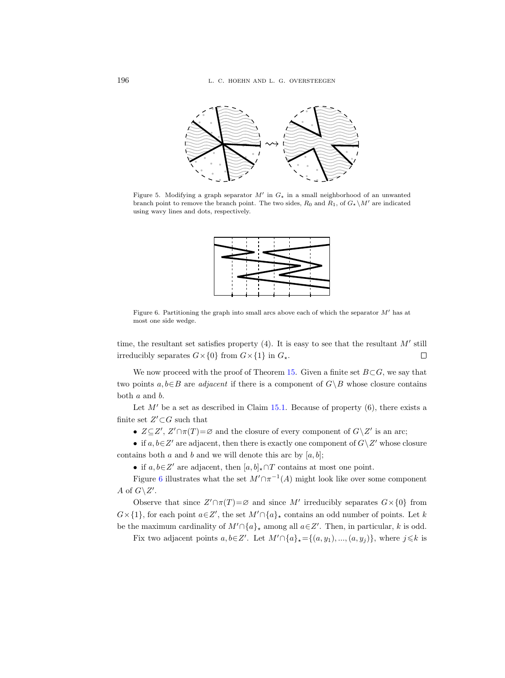

<span id="page-19-0"></span>Figure 5. Modifying a graph separator  $M'$  in  $G_{\star}$  in a small neighborhood of an unwanted branch point to remove the branch point. The two sides,  $R_0$  and  $R_1$ , of  $G_{\star} \backslash M'$  are indicated using wavy lines and dots, respectively.



<span id="page-19-1"></span>Figure 6. Partitioning the graph into small arcs above each of which the separator  $M'$  has at most one side wedge.

time, the resultant set satisfies property  $(4)$ . It is easy to see that the resultant M' still irreducibly separates  $G \times \{0\}$  from  $G \times \{1\}$  in  $G_{\star}$ .  $\Box$ 

We now proceed with the proof of Theorem [15.](#page-17-0) Given a finite set  $B\subset G$ , we say that two points  $a, b \in B$  are *adjacent* if there is a component of  $G \setminus B$  whose closure contains both a and b.

Let  $M'$  be a set as described in Claim [15.1.](#page-18-0) Because of property (6), there exists a finite set  $Z' \subset G$  such that

•  $Z \subseteq Z'$ ,  $Z' \cap \pi(T) = \emptyset$  and the closure of every component of  $G \setminus Z'$  is an arc;

• if  $a, b \in \mathbb{Z}'$  are adjacent, then there is exactly one component of  $G \setminus \mathbb{Z}'$  whose closure contains both a and b and we will denote this arc by  $[a, b]$ ;

• if  $a, b \in \mathbb{Z}'$  are adjacent, then  $[a, b]_{\star} \cap T$  contains at most one point.

Figure [6](#page-19-1) illustrates what the set  $M' \cap \pi^{-1}(A)$  might look like over some component A of  $G\backslash Z'$ .

Observe that since  $Z' \cap \pi(T) = \emptyset$  and since M' irreducibly separates  $G \times \{0\}$  from  $G\times\{1\}$ , for each point  $a\in\mathbb{Z}'$ , the set  $M'\cap\{a\}_\star$  contains an odd number of points. Let k be the maximum cardinality of  $M' \cap \{a\}_*$  among all  $a \in \mathbb{Z}'$ . Then, in particular, k is odd.

Fix two adjacent points  $a, b \in \mathbb{Z}'$ . Let  $M' \cap \{a\}_* = \{(a, y_1), ..., (a, y_j)\}$ , where  $j \leq k$  is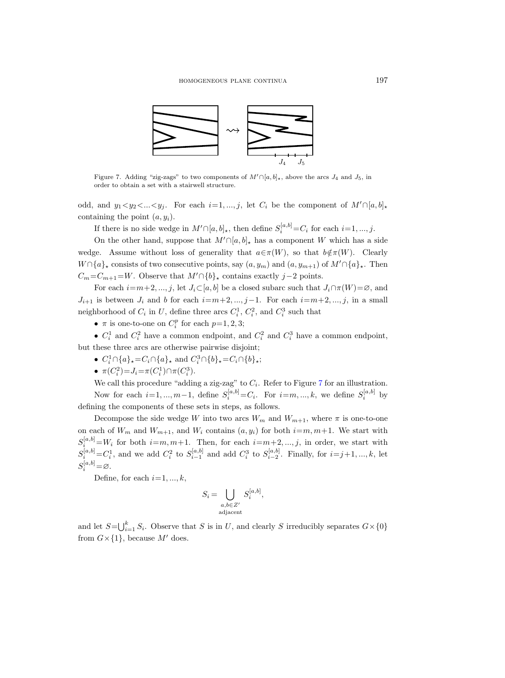

<span id="page-20-0"></span>Figure 7. Adding "zig-zags" to two components of  $M' \cap [a, b]_{\star}$ , above the arcs  $J_4$  and  $J_5$ , in order to obtain a set with a stairwell structure.

odd, and  $y_1 < y_2 < ... < y_j$ . For each  $i=1,...,j$ , let  $C_i$  be the component of  $M' \cap [a, b]_{\star}$ containing the point  $(a, y_i)$ .

If there is no side wedge in  $M' \cap [a, b]_{\star}$ , then define  $S_i^{[a, b]} = C_i$  for each  $i = 1, ..., j$ .

On the other hand, suppose that  $M' \cap [a, b]_{\star}$  has a component W which has a side wedge. Assume without loss of generality that  $a \in \pi(W)$ , so that  $b \notin \pi(W)$ . Clearly  $W \cap \{a\}_\star$  consists of two consecutive points, say  $(a, y_m)$  and  $(a, y_{m+1})$  of  $M' \cap \{a\}_\star$ . Then  $C_m=C_{m+1}=W$ . Observe that  $M'\cap \{b\}_\star$  contains exactly j−2 points.

For each  $i=m+2, ..., j$ , let  $J_i\subset [a, b]$  be a closed subarc such that  $J_i\cap \pi(W)=\emptyset$ , and  $J_{i+1}$  is between  $J_i$  and b for each  $i=m+2, ..., j-1$ . For each  $i=m+2, ..., j$ , in a small neighborhood of  $C_i$  in U, define three arcs  $C_i^1$ ,  $C_i^2$ , and  $C_i^3$  such that

•  $\pi$  is one-to-one on  $C_i^p$  for each  $p=1, 2, 3;$ 

•  $C_i^1$  and  $C_i^2$  have a common endpoint, and  $C_i^2$  and  $C_i^3$  have a common endpoint, but these three arcs are otherwise pairwise disjoint;

- $C_i^1 \cap \{a\}_\star = C_i \cap \{a\}_\star$  and  $C_i^3 \cap \{b\}_\star = C_i \cap \{b\}_\star$ ;
- $\pi(C_i^2) = J_i = \pi(C_i^1) \cap \pi(C_i^3)$ .

We call this procedure "adding a zig-zag" to  $C_i$ . Refer to Figure [7](#page-20-0) for an illustration. Now for each  $i=1, ..., m-1$ , define  $S_i^{[a,b]} = C_i$ . For  $i=m, ..., k$ , we define  $S_i^{[a,b]}$  by defining the components of these sets in steps, as follows.

Decompose the side wedge W into two arcs  $W_m$  and  $W_{m+1}$ , where  $\pi$  is one-to-one on each of  $W_m$  and  $W_{m+1}$ , and  $W_i$  contains  $(a, y_i)$  for both  $i=m, m+1$ . We start with  $S_i^{[a,b]} = W_i$  for both  $i=m, m+1$ . Then, for each  $i=m+2, ..., j$ , in order, we start with  $S_i^{[a,b]} = C_i^1$ , and we add  $C_i^2$  to  $S_{i-1}^{[a,b]}$  and add  $C_i^3$  to  $S_{i-2}^{[a,b]}$ . Finally, for  $i=j+1, ..., k$ , let  $S_i^{[a,b]} = \varnothing$ .

Define, for each  $i=1, ..., k$ ,

$$
S_i = \bigcup_{\substack{a,b \in Z' \\ \text{adjacent}}} S_i^{[a,b]},
$$

and let  $S = \bigcup_{i=1}^{k} S_i$ . Observe that S is in U, and clearly S irreducibly separates  $G \times \{0\}$ from  $G \times \{1\}$ , because M' does.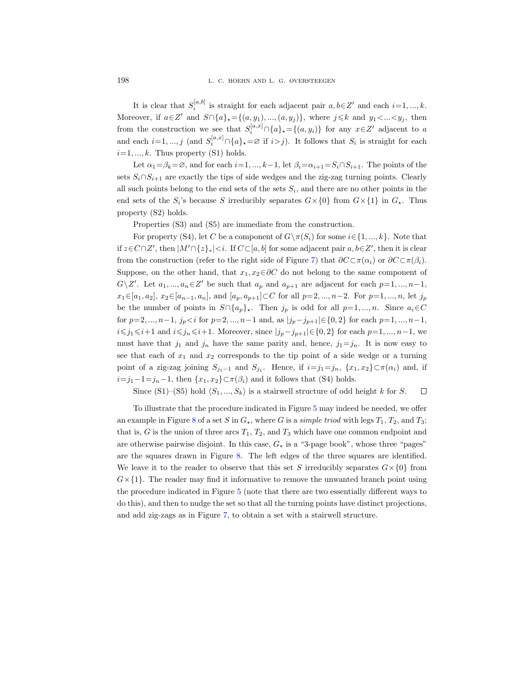It is clear that  $S_i^{[a,b]}$  is straight for each adjacent pair  $a, b \in \mathbb{Z}'$  and each  $i=1, ..., k$ . Moreover, if  $a \in \mathbb{Z}'$  and  $S \cap \{a\}_\star = \{(a, y_1), ..., (a, y_j)\}\$ , where  $j \leq k$  and  $y_1 < ... < y_j$ , then from the construction we see that  $S_i^{[a,x]} \cap \{a\}_* = \{(a,y_i)\}\)$  for any  $x \in \mathbb{Z}'$  adjacent to a and each  $i=1, ..., j$  (and  $S_i^{[a,x]} \cap \{a\}_\star = \varnothing$  if  $i>j$ ). It follows that  $S_i$  is straight for each  $i=1, ..., k$ . Thus property (S1) holds.

Let  $\alpha_1=\beta_k=\emptyset$ , and for each  $i=1, ..., k-1$ , let  $\beta_i=\alpha_{i+1}=S_i\cap S_{i+1}$ . The points of the sets  $S_i \cap S_{i+1}$  are exactly the tips of side wedges and the zig-zag turning points. Clearly all such points belong to the end sets of the sets  $S_i$ , and there are no other points in the end sets of the  $S_i$ 's because S irreducibly separates  $G \times \{0\}$  from  $G \times \{1\}$  in  $G_*$ . Thus property (S2) holds.

Properties (S3) and (S5) are immediate from the construction.

For property (S4), let C be a component of  $G\setminus \pi(S_i)$  for some  $i\in\{1, ..., k\}$ . Note that if  $z \in C \cap Z'$ , then  $|M' \cap \{z\}_*| < i$ . If  $C \subset [a, b]$  for some adjacent pair  $a, b \in Z'$ , then it is clear from the construction (refer to the right side of Figure [7\)](#page-20-0) that  $\partial C \subset \pi(\alpha_i)$  or  $\partial C \subset \pi(\beta_i)$ . Suppose, on the other hand, that  $x_1, x_2 \in \partial C$  do not belong to the same component of  $G\backslash Z'$ . Let  $a_1, ..., a_n \in Z'$  be such that  $a_p$  and  $a_{p+1}$  are adjacent for each  $p=1, ..., n-1$ ,  $x_1 \in [a_1, a_2], x_2 \in [a_{n-1}, a_n],$  and  $[a_p, a_{p+1}] \subset C$  for all  $p=2, ..., n-2$ . For  $p=1, ..., n$ , let  $j_p$ be the number of points in  $S \cap \{a_p\}_*$ . Then  $j_p$  is odd for all  $p=1, ..., n$ . Since  $a_i \in C$ for  $p=2, ..., n-1$ ,  $j_p < i$  for  $p=2, ..., n-1$  and, as  $|j_p-j_{p+1}| \in \{0, 2\}$  for each  $p=1, ..., n-1$ ,  $i\leq j_1\leq i+1$  and  $i\leq j_n\leq i+1$ . Moreover, since  $|j_p-j_{p+1}|\in\{0,2\}$  for each  $p=1, ..., n-1$ , we must have that  $j_1$  and  $j_n$  have the same parity and, hence,  $j_1=j_n$ . It is now easy to see that each of  $x_1$  and  $x_2$  corresponds to the tip point of a side wedge or a turning point of a zig-zag joining  $S_{j_1-1}$  and  $S_{j_1}$ . Hence, if  $i=j_1=j_n$ ,  $\{x_1, x_2\} \subset \pi(\alpha_i)$  and, if  $i=j_1-1=j_n-1$ , then  $\{x_1, x_2\} \subset \pi(\beta_i)$  and it follows that (S4) holds.

Since (S1)–(S5) hold  $\langle S_1, ..., S_k \rangle$  is a stairwell structure of odd height k for S.  $\Box$ 

<span id="page-21-0"></span>To illustrate that the procedure indicated in Figure [5](#page-19-0) may indeed be needed, we offer an example in Figure [8](#page-22-0) of a set S in  $G<sub>*</sub>$ , where G is a simple triod with legs  $T<sub>1</sub>, T<sub>2</sub>$ , and  $T<sub>3</sub>$ ; that is, G is the union of three arcs  $T_1$ ,  $T_2$ , and  $T_3$  which have one common endpoint and are otherwise pairwise disjoint. In this case,  $G_{\star}$  is a "3-page book", whose three "pages" are the squares drawn in Figure [8.](#page-22-0) The left edges of the three squares are identified. We leave it to the reader to observe that this set S irreducibly separates  $G \times \{0\}$  from  $G\times\{1\}$ . The reader may find it informative to remove the unwanted branch point using the procedure indicated in Figure [5](#page-19-0) (note that there are two essentially different ways to do this), and then to nudge the set so that all the turning points have distinct projections, and add zig-zags as in Figure [7,](#page-20-0) to obtain a set with a stairwell structure.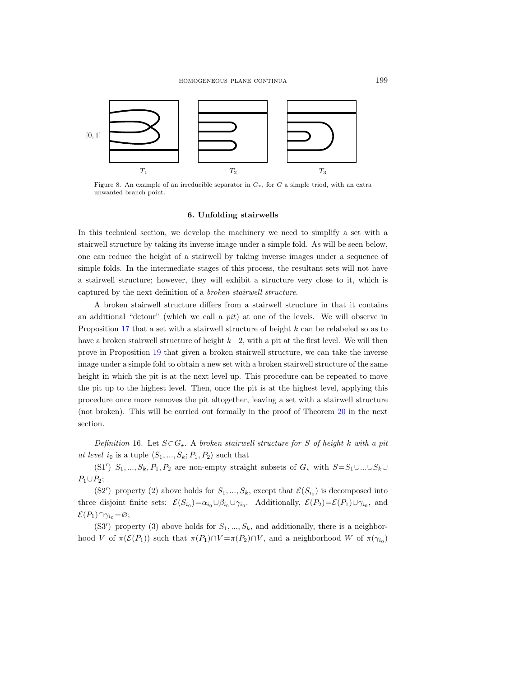

<span id="page-22-0"></span>Figure 8. An example of an irreducible separator in  $G<sub>\star</sub>$ , for G a simple triod, with an extra unwanted branch point.

## 6. Unfolding stairwells

In this technical section, we develop the machinery we need to simplify a set with a stairwell structure by taking its inverse image under a simple fold. As will be seen below, one can reduce the height of a stairwell by taking inverse images under a sequence of simple folds. In the intermediate stages of this process, the resultant sets will not have a stairwell structure; however, they will exhibit a structure very close to it, which is captured by the next definition of a broken stairwell structure.

A broken stairwell structure differs from a stairwell structure in that it contains an additional "detour" (which we call a *pit*) at one of the levels. We will observe in Proposition [17](#page-23-0) that a set with a stairwell structure of height k can be relabeled so as to have a broken stairwell structure of height k−2, with a pit at the first level. We will then prove in Proposition [19](#page-25-0) that given a broken stairwell structure, we can take the inverse image under a simple fold to obtain a new set with a broken stairwell structure of the same height in which the pit is at the next level up. This procedure can be repeated to move the pit up to the highest level. Then, once the pit is at the highest level, applying this procedure once more removes the pit altogether, leaving a set with a stairwell structure (not broken). This will be carried out formally in the proof of Theorem [20](#page-32-0) in the next section.

<span id="page-22-1"></span>Definition 16. Let  $S \subset G_*$ . A broken stairwell structure for S of height k with a pit at level i<sub>0</sub> is a tuple  $\langle S_1, ..., S_k; P_1, P_2 \rangle$  such that

(S1')  $S_1, ..., S_k, P_1, P_2$  are non-empty straight subsets of  $G_x$  with  $S = S_1 \cup ... \cup S_k \cup$  $P_1 \cup P_2$ ;

(S2') property (2) above holds for  $S_1, ..., S_k$ , except that  $\mathcal{E}(S_{i_0})$  is decomposed into three disjoint finite sets:  $\mathcal{E}(S_{i_0}) = \alpha_{i_0} \cup \beta_{i_0} \cup \gamma_{i_0}$ . Additionally,  $\mathcal{E}(P_2) = \mathcal{E}(P_1) \cup \gamma_{i_0}$ , and  $\mathcal{E}(P_1)\cap \gamma_{i_0}=\varnothing;$ 

(S3') property (3) above holds for  $S_1, ..., S_k$ , and additionally, there is a neighborhood V of  $\pi(\mathcal{E}(P_1))$  such that  $\pi(P_1) \cap V = \pi(P_2) \cap V$ , and a neighborhood W of  $\pi(\gamma_{i_0})$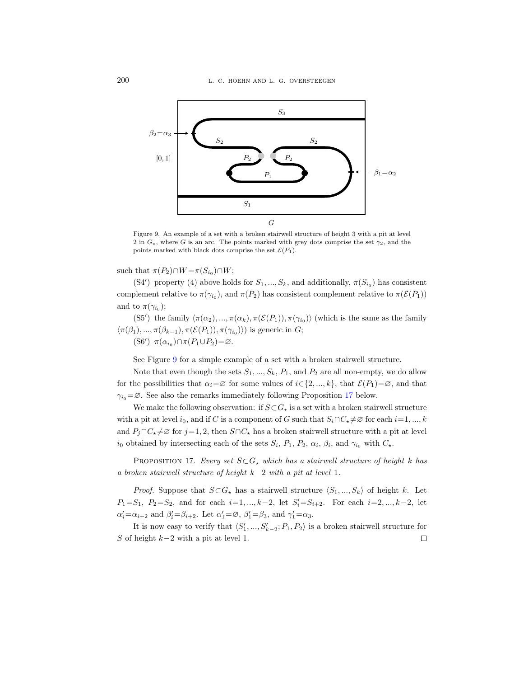

<span id="page-23-1"></span>Figure 9. An example of a set with a broken stairwell structure of height 3 with a pit at level 2 in  $G<sub>\star</sub>$ , where G is an arc. The points marked with grey dots comprise the set  $\gamma_2$ , and the points marked with black dots comprise the set  $\mathcal{E}(P_1)$ .

such that  $\pi(P_2) \cap W = \pi(S_{i_0}) \cap W;$ 

(S4') property (4) above holds for  $S_1, ..., S_k$ , and additionally,  $\pi(S_{i_0})$  has consistent complement relative to  $\pi(\gamma_{i_0})$ , and  $\pi(P_2)$  has consistent complement relative to  $\pi(\mathcal{E}(P_1))$ and to  $\pi(\gamma_{i_0});$ 

(S5') the family  $\langle \pi(\alpha_2), ..., \pi(\alpha_k), \pi(\mathcal{E}(P_1)), \pi(\gamma_{i_0}) \rangle$  (which is the same as the family  $\langle \pi(\beta_1), ..., \pi(\beta_{k-1}), \pi(\mathcal{E}(P_1)), \pi(\gamma_{i_0}) \rangle$  is generic in G; (S6')  $\pi(\alpha_{i_0}) \cap \pi(P_1 \cup P_2) = \varnothing$ .

See Figure [9](#page-23-1) for a simple example of a set with a broken stairwell structure.

Note that even though the sets  $S_1, ..., S_k, P_1$ , and  $P_2$  are all non-empty, we do allow for the possibilities that  $\alpha_i = \emptyset$  for some values of  $i \in \{2, ..., k\}$ , that  $\mathcal{E}(P_1) = \emptyset$ , and that  $\gamma_{i_0} = \emptyset$ . See also the remarks immediately following Proposition [17](#page-23-0) below.

We make the following observation: if  $S\!\subset\!G_\star$  is a set with a broken stairwell structure with a pit at level  $i_0$ , and if C is a component of G such that  $S_i \cap C_i \neq \emptyset$  for each  $i=1, ..., k$ and  $P_j \cap C_{\star} \neq \emptyset$  for  $j=1, 2$ , then  $S \cap C_{\star}$  has a broken stairwell structure with a pit at level  $i_0$  obtained by intersecting each of the sets  $S_i$ ,  $P_1$ ,  $P_2$ ,  $\alpha_i$ ,  $\beta_i$ , and  $\gamma_{i_0}$  with  $C_{\star}$ .

<span id="page-23-0"></span>PROPOSITION 17. Every set  $S \subset G_{\star}$  which has a stairwell structure of height k has a broken stairwell structure of height k−2 with a pit at level 1.

*Proof.* Suppose that  $S \subset G_{\star}$  has a stairwell structure  $\langle S_1, ..., S_k \rangle$  of height k. Let  $P_1 = S_1, P_2 = S_2$ , and for each  $i = 1, ..., k-2$ , let  $S_i' = S_{i+2}$ . For each  $i = 2, ..., k-2$ , let  $\alpha'_i = \alpha_{i+2}$  and  $\beta'_i = \beta_{i+2}$ . Let  $\alpha'_1 = \emptyset$ ,  $\beta'_1 = \beta_3$ , and  $\gamma'_1 = \alpha_3$ .

It is now easy to verify that  $\langle S'_1, ..., S'_{k-2}; P_1, P_2 \rangle$  is a broken stairwell structure for S of height  $k-2$  with a pit at level 1.  $\Box$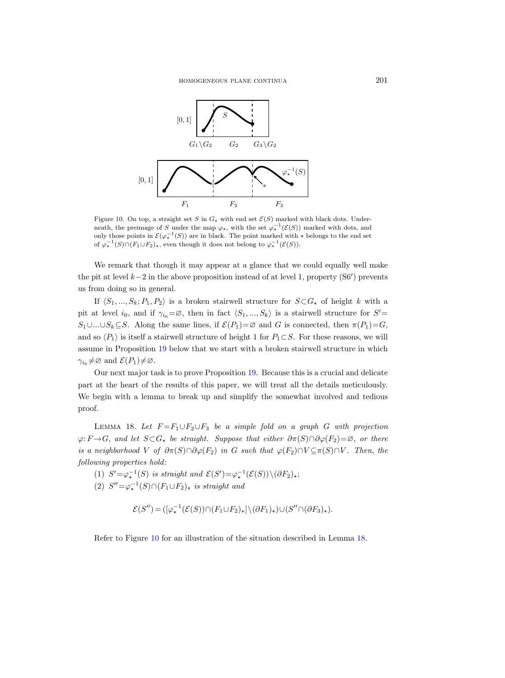

<span id="page-24-0"></span>Figure 10. On top, a straight set S in  $G_{\star}$  with end set  $\mathcal{E}(S)$  marked with black dots. Underneath, the preimage of S under the map  $\varphi_{\star}$ , with the set  $\varphi_{\star}^{-1}(\mathcal{E}(S))$  marked with dots, and only those points in  $\mathcal{E}(\varphi_\star^{-1}(S))$  are in black. The point marked with  $*$  belongs to the end set of  $\varphi_\star^{-1}(S) \cap (F_1 \cup F_2)_\star$ , even though it does not belong to  $\varphi_\star^{-1}(\mathcal{E}(S))$ .

We remark that though it may appear at a glance that we could equally well make the pit at level  $k-2$  in the above proposition instead of at level 1, property (S6') prevents us from doing so in general.

If  $\langle S_1, ..., S_k; P_1, P_2 \rangle$  is a broken stairwell structure for  $S \subset G_*$  of height k with a pit at level  $i_0$ , and if  $\gamma_{i_0} = \emptyset$ , then in fact  $\langle S_1, ..., S_k \rangle$  is a stairwell structure for  $S'$  $S_1 \cup ... \cup S_k \subseteq S$ . Along the same lines, if  $\mathcal{E}(P_1) = \emptyset$  and G is connected, then  $\pi(P_1) = G$ , and so  $\langle P_1 \rangle$  is itself a stairwell structure of height 1 for  $P_1 \subset S$ . For these reasons, we will assume in Proposition [19](#page-25-0) below that we start with a broken stairwell structure in which  $\gamma_{i_0} \neq \varnothing$  and  $\mathcal{E}(P_1) \neq \varnothing$ .

Our next major task is to prove Proposition [19.](#page-25-0) Because this is a crucial and delicate part at the heart of the results of this paper, we will treat all the details meticulously. We begin with a lemma to break up and simplify the somewhat involved and tedious proof.

<span id="page-24-1"></span>LEMMA 18. Let  $F = F_1 \cup F_2 \cup F_3$  be a simple fold on a graph G with projection  $\varphi: F \to G$ , and let  $S \subset G_{\star}$  be straight. Suppose that either  $\partial \pi(S) \cap \partial \varphi(F_2) = \varnothing$ , or there is a neighborhood V of  $\partial \pi(S) \cap \partial \varphi(F_2)$  in G such that  $\varphi(F_2) \cap V \subseteq \pi(S) \cap V$ . Then, the following properties hold:

(1)  $S' = \varphi_{\star}^{-1}(S)$  is straight and  $\mathcal{E}(S') = \varphi_{\star}^{-1}(\mathcal{E}(S)) \setminus (\partial F_2)_{\star};$ (2)  $S'' = \varphi_*^{-1}(S) \cap (F_1 \cup F_2)_*$  is straight and

$$
\mathcal{E}(S'')\!=\!([\varphi_\star^{-1}(\mathcal{E}(S))\!\cap\! (F_1\!\cup\!F_2)_\star]\backslash(\partial F_1)_\star)\!\cup\! (S''\!\cap\! (\partial F_3)_\star).
$$

Refer to Figure [10](#page-24-0) for an illustration of the situation described in Lemma [18.](#page-24-1)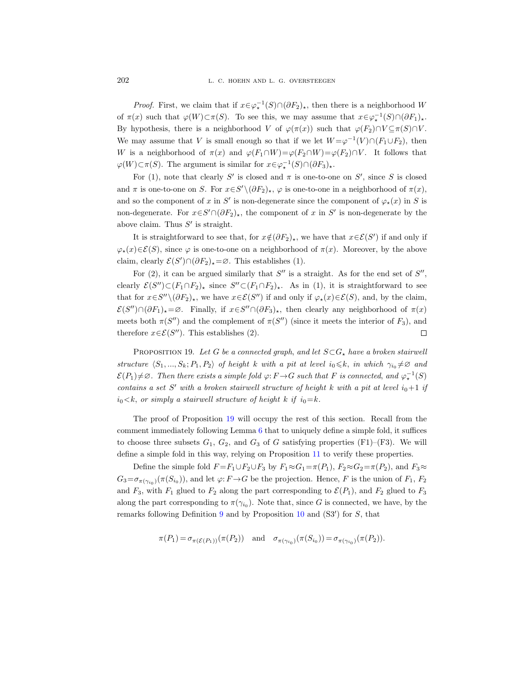*Proof.* First, we claim that if  $x \in \varphi_*^{-1}(S) \cap (\partial F_2)_*$ , then there is a neighborhood W of  $\pi(x)$  such that  $\varphi(W) \subset \pi(S)$ . To see this, we may assume that  $x \in \varphi_*^{-1}(S) \cap (\partial F_1)_*$ . By hypothesis, there is a neighborhood V of  $\varphi(\pi(x))$  such that  $\varphi(F_2) \cap V \subseteq \pi(S) \cap V$ . We may assume that V is small enough so that if we let  $W = \varphi^{-1}(V) \cap (F_1 \cup F_2)$ , then W is a neighborhood of  $\pi(x)$  and  $\varphi(F_1 \cap W) = \varphi(F_2 \cap W) = \varphi(F_2) \cap V$ . It follows that  $\varphi(W) \subset \pi(S)$ . The argument is similar for  $x \in \varphi_\star^{-1}(S) \cap (\partial F_3)_\star$ .

For (1), note that clearly S' is closed and  $\pi$  is one-to-one on S', since S is closed and  $\pi$  is one-to-one on S. For  $x \in S' \setminus (\partial F_2)_\star$ ,  $\varphi$  is one-to-one in a neighborhood of  $\pi(x)$ , and so the component of x in S' is non-degenerate since the component of  $\varphi_{\star}(x)$  in S is non-degenerate. For  $x \in S' \cap (\partial F_2)_*$ , the component of x in S' is non-degenerate by the above claim. Thus  $S'$  is straight.

It is straightforward to see that, for  $x \notin (\partial F_2)_\star$ , we have that  $x \in \mathcal{E}(S')$  if and only if  $\varphi_{\star}(x)\in\mathcal{E}(S)$ , since  $\varphi$  is one-to-one on a neighborhood of  $\pi(x)$ . Moreover, by the above claim, clearly  $\mathcal{E}(S') \cap (\partial F_2)_\star = \varnothing$ . This establishes (1).

For  $(2)$ , it can be argued similarly that  $S''$  is a straight. As for the end set of  $S''$ , clearly  $\mathcal{E}(S'') \subset (F_1 \cap F_2)_*$  since  $S'' \subset (F_1 \cap F_2)_*$ . As in (1), it is straightforward to see that for  $x \in S'' \setminus (\partial F_2)_\star$ , we have  $x \in \mathcal{E}(S'')$  if and only if  $\varphi_\star(x) \in \mathcal{E}(S)$ , and, by the claim,  $\mathcal{E}(S'')\cap(\partial F_1)_\star=\emptyset$ . Finally, if  $x\in S''\cap(\partial F_3)_\star$ , then clearly any neighborhood of  $\pi(x)$ meets both  $\pi(S'')$  and the complement of  $\pi(S'')$  (since it meets the interior of  $F_3$ ), and therefore  $x \in \mathcal{E}(S'')$ . This establishes (2).  $\Box$ 

<span id="page-25-0"></span>PROPOSITION 19. Let G be a connected graph, and let  $S \subset G_{\star}$  have a broken stairwell structure  $\langle S_1, ..., S_k; P_1, P_2 \rangle$  of height k with a pit at level  $i_0 \leq k$ , in which  $\gamma_{i_0} \neq \emptyset$  and  $\mathcal{E}(P_1) \neq \emptyset$ . Then there exists a simple fold  $\varphi: F \to G$  such that F is connected, and  $\varphi_\star^{-1}(S)$ contains a set S' with a broken stairwell structure of height k with a pit at level  $i_0+1$  if  $i_0 < k$ , or simply a stairwell structure of height k if  $i_0 = k$ .

The proof of Proposition [19](#page-25-0) will occupy the rest of this section. Recall from the comment immediately following Lemma [6](#page-8-1) that to uniquely define a simple fold, it suffices to choose three subsets  $G_1$ ,  $G_2$ , and  $G_3$  of G satisfying properties (F1)–(F3). We will define a simple fold in this way, relying on Proposition [11](#page-13-1) to verify these properties.

Define the simple fold  $F = F_1 \cup F_2 \cup F_3$  by  $F_1 \approx G_1 = \pi(P_1)$ ,  $F_2 \approx G_2 = \pi(P_2)$ , and  $F_3 \approx$  $G_3 = \sigma_{\pi(\gamma_{i_0})}(\pi(S_{i_0}))$ , and let  $\varphi: F \to G$  be the projection. Hence, F is the union of  $F_1, F_2$ and  $F_3$ , with  $F_1$  glued to  $F_2$  along the part corresponding to  $\mathcal{E}(P_1)$ , and  $F_2$  glued to  $F_3$ along the part corresponding to  $\pi(\gamma_{i_0})$ . Note that, since G is connected, we have, by the remarks following Definition [9](#page-12-0) and by Proposition  $10$  and  $(S3')$  for  $S$ , that

$$
\pi(P_1) = \sigma_{\pi(\mathcal{E}(P_1))}(\pi(P_2)) \quad \text{and} \quad \sigma_{\pi(\gamma_{i_0})}(\pi(S_{i_0})) = \sigma_{\pi(\gamma_{i_0})}(\pi(P_2)).
$$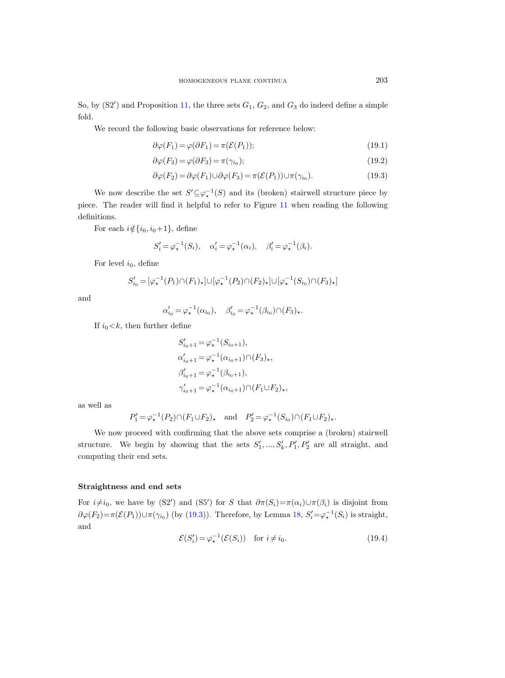So, by  $(S2')$  and Proposition [11,](#page-13-1) the three sets  $G_1, G_2$ , and  $G_3$  do indeed define a simple fold.

We record the following basic observations for reference below:

<span id="page-26-1"></span>
$$
\partial \varphi(F_1) = \varphi(\partial F_1) = \pi(\mathcal{E}(P_1));\tag{19.1}
$$

<span id="page-26-2"></span>
$$
\partial \varphi(F_3) = \varphi(\partial F_3) = \pi(\gamma_{i_0});\tag{19.2}
$$

<span id="page-26-0"></span>
$$
\partial \varphi(F_2) = \partial \varphi(F_1) \cup \partial \varphi(F_3) = \pi(\mathcal{E}(P_1)) \cup \pi(\gamma_{i_0}). \tag{19.3}
$$

We now describe the set  $S' \subseteq \varphi_*^{-1}(S)$  and its (broken) stairwell structure piece by piece. The reader will find it helpful to refer to Figure [11](#page-27-0) when reading the following definitions.

For each  $i \notin \{i_0, i_0+1\}$ , define

$$
S_i' = \varphi_\star^{-1}(S_i), \quad \alpha_i' = \varphi_\star^{-1}(\alpha_i), \quad \beta_i' = \varphi_\star^{-1}(\beta_i).
$$

For level  $i_0$ , define

$$
S'_{i_0} = [\varphi_\star^{-1}(P_1) \cap (F_1)_\star] \cup [\varphi_\star^{-1}(P_2) \cap (F_2)_\star] \cup [\varphi_\star^{-1}(S_{i_0}) \cap (F_3)_\star]
$$

and

$$
\alpha'_{i_0} = \varphi_\star^{-1}(\alpha_{i_0}), \quad \beta'_{i_0} = \varphi_\star^{-1}(\beta_{i_0}) \cap (F_3)_\star.
$$

If  $i_0 < k$ , then further define

$$
S'_{i_0+1} = \varphi_{\star}^{-1}(S_{i_0+1}),
$$
  
\n
$$
\alpha'_{i_0+1} = \varphi_{\star}^{-1}(\alpha_{i_0+1}) \cap (F_3)_{\star},
$$
  
\n
$$
\beta'_{i_0+1} = \varphi_{\star}^{-1}(\beta_{i_0+1}),
$$
  
\n
$$
\gamma'_{i_0+1} = \varphi_{\star}^{-1}(\alpha_{i_0+1}) \cap (F_1 \cup F_2)_{\star},
$$

as well as

$$
P_1' = \varphi_\star^{-1}(P_2) \cap (F_1 \cup F_2)_\star \quad \text{and} \quad P_2' = \varphi_\star^{-1}(S_{i_0}) \cap (F_1 \cup F_2)_\star.
$$

We now proceed with confirming that the above sets comprise a (broken) stairwell structure. We begin by showing that the sets  $S'_1, ..., S'_k, P'_1, P'_2$  are all straight, and computing their end sets.

## Straightness and end sets

For  $i\neq i_0$ , we have by (S2') and (S5') for S that  $\partial \pi(S_i)=\pi(\alpha_i)\cup \pi(\beta_i)$  is disjoint from  $\partial \varphi(F_2) = \pi(\mathcal{E}(P_1)) \cup \pi(\gamma_{i_0})$  (by [\(19.3\)](#page-26-0)). Therefore, by Lemma [18,](#page-24-1)  $S_i' = \varphi_*^{-1}(S_i)$  is straight, and

<span id="page-26-3"></span>
$$
\mathcal{E}(S_i') = \varphi_\star^{-1}(\mathcal{E}(S_i)) \quad \text{for } i \neq i_0. \tag{19.4}
$$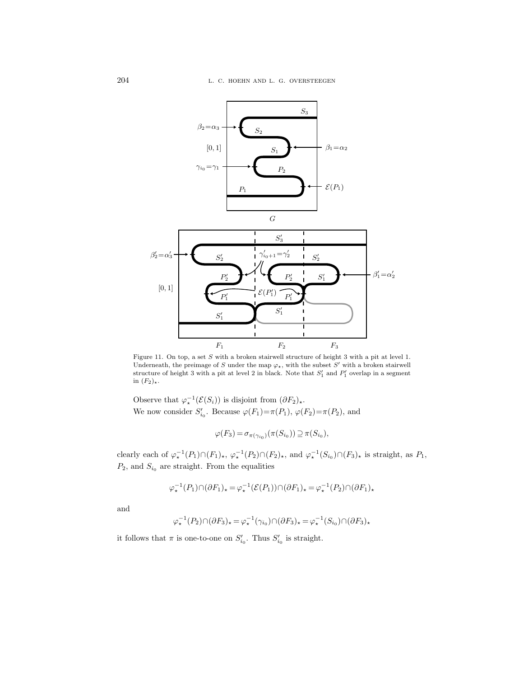

<span id="page-27-0"></span>Figure 11. On top, a set S with a broken stairwell structure of height 3 with a pit at level 1. Underneath, the preimage of S under the map  $\varphi_{\star}$ , with the subset S' with a broken stairwell structure of height 3 with a pit at level 2 in black. Note that  $S'_1$  and  $P'_1$  overlap in a segment in  $(F_2)_*$ .

Observe that  $\varphi_\star^{-1}(\mathcal{E}(S_i))$  is disjoint from  $(\partial F_2)_\star$ . We now consider  $S'_{i_0}$ . Because  $\varphi(F_1) = \pi(P_1)$ ,  $\varphi(F_2) = \pi(P_2)$ , and

$$
\varphi(F_3) = \sigma_{\pi(\gamma_{i_0})}(\pi(S_{i_0})) \supseteq \pi(S_{i_0}),
$$

clearly each of  $\varphi_\star^{-1}(P_1) \cap (F_1)_\star$ ,  $\varphi_\star^{-1}(P_2) \cap (F_2)_\star$ , and  $\varphi_\star^{-1}(S_{i_0}) \cap (F_3)_\star$  is straight, as  $P_1$ ,  $P_2$ , and  $S_{i_0}$  are straight. From the equalities

$$
\varphi_\star^{-1}(P_1) \cap (\partial F_1)_\star = \varphi_\star^{-1}(\mathcal{E}(P_1)) \cap (\partial F_1)_\star = \varphi_\star^{-1}(P_2) \cap (\partial F_1)_\star
$$

and

$$
\varphi_\star^{-1}(P_2) \cap (\partial F_3)_\star = \varphi_\star^{-1}(\gamma_{i_0}) \cap (\partial F_3)_\star = \varphi_\star^{-1}(S_{i_0}) \cap (\partial F_3)_\star
$$

it follows that  $\pi$  is one-to-one on  $S'_{i_0}$ . Thus  $S'_{i_0}$  is straight.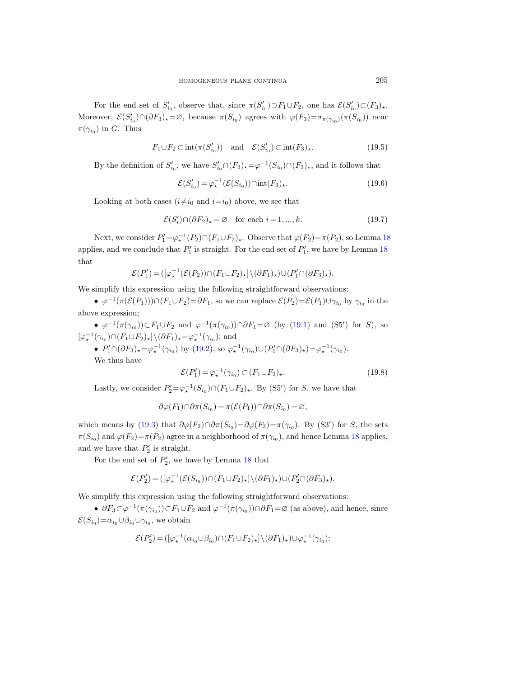For the end set of  $S'_{i_0}$ , observe that, since  $\pi(S'_{i_0}) \supset F_1 \cup F_2$ , one has  $\mathcal{E}(S'_{i_0}) \subset (F_3)_{\star}$ . Moreover,  $\mathcal{E}(S'_{i_0}) \cap (\partial F_3)_* = \varnothing$ , because  $\pi(S_{i_0})$  agrees with  $\varphi(F_3) = \sigma_{\pi(\gamma_{i_0})}(\pi(S_{i_0}))$  near  $\pi(\gamma_{i_0})$  in G. Thus

<span id="page-28-3"></span>
$$
F_1 \cup F_2 \subset \text{int}(\pi(S_{i_0}')) \quad \text{and} \quad \mathcal{E}(S_{i_0}') \subset \text{int}(F_3)_\star. \tag{19.5}
$$

By the definition of  $S'_{i_0}$ , we have  $S'_{i_0} \cap (F_3)_* = \varphi^{-1}(S_{i_0}) \cap (F_3)_*$ , and it follows that

<span id="page-28-2"></span>
$$
\mathcal{E}(S'_{i_0}) = \varphi_{\star}^{-1}(\mathcal{E}(S_{i_0})) \cap \text{int}(F_3)_{\star}.
$$
\n(19.6)

Looking at both cases  $(i \neq i_0 \text{ and } i = i_0)$  above, we see that

<span id="page-28-1"></span>
$$
\mathcal{E}(S_i') \cap (\partial F_2)_\star = \varnothing \quad \text{for each } i = 1, ..., k. \tag{19.7}
$$

Next, we consider  $P'_1 = \varphi_*^{-1}(P_2) \cap (F_1 \cup F_2)_*$ . Observe that  $\varphi(F_2) = \pi(P_2)$ , so Lemma [18](#page-24-1) applies, and we conclude that  $P'_1$  is straight. For the end set of  $P'_1$ , we have by Lemma [18](#page-24-1) that

$$
\mathcal{E}(P'_1) = ([\varphi_\star^{-1}(\mathcal{E}(P_2)) \cap (F_1 \cup F_2)_\star] \setminus (\partial F_1)_\star) \cup (P'_1 \cap (\partial F_3)_\star).
$$

We simplify this expression using the following straightforward observations:

•  $\varphi^{-1}(\pi(\mathcal{E}(P_1))) \cap (F_1 \cup F_2) = \partial F_1$ , so we can replace  $\mathcal{E}(P_2) = \mathcal{E}(P_1) \cup \gamma_{i_0}$  by  $\gamma_{i_0}$  in the above expression;

•  $\varphi^{-1}(\pi(\gamma_{i_0})) \subset F_1 \cup F_2$  and  $\varphi^{-1}(\pi(\gamma_{i_0})) \cap \partial F_1 = \varnothing$  (by [\(19.1\)](#page-26-1) and (S5') for S), so  $[\varphi_\star^{-1}(\gamma_{i_0}) \cap (F_1 \cup F_2)_\star] \setminus (\partial F_1)_\star = \varphi_\star^{-1}(\gamma_{i_0});$  and

•  $P'_1 \cap (\partial F_3)_* = \varphi_*^{-1}(\gamma_{i_0})$  by [\(19.2\)](#page-26-2), so  $\varphi_*^{-1}(\gamma_{i_0}) \cup (P'_1 \cap (\partial F_3)_*) = \varphi_*^{-1}(\gamma_{i_0})$ . We thus have

<span id="page-28-0"></span>
$$
\mathcal{E}(P_1') = \varphi_\star^{-1}(\gamma_{i_0}) \subset (F_1 \cup F_2)_\star.
$$
\n(19.8)

Lastly, we consider  $P'_2 = \varphi_*^{-1}(S_{i_0}) \cap (F_1 \cup F_2)_*$ . By (S5') for S, we have that

$$
\partial \varphi(F_1) \cap \partial \pi(S_{i_0}) = \pi(\mathcal{E}(P_1)) \cap \partial \pi(S_{i_0}) = \varnothing,
$$

which means by [\(19.3\)](#page-26-0) that  $\partial \varphi(F_2) \cap \partial \pi(S_{i_0}) = \partial \varphi(F_3) = \pi(\gamma_{i_0})$ . By (S3') for S, the sets  $\pi(S_{i_0})$  and  $\varphi(F_2) = \pi(P_2)$  agree in a neighborhood of  $\pi(\gamma_{i_0})$ , and hence Lemma [18](#page-24-1) applies, and we have that  $P'_2$  is straight.

For the end set of  $P'_2$ , we have by Lemma [18](#page-24-1) that

$$
\mathcal{E}(P_2')\!=\! ([\varphi_\star^{-1}(\mathcal{E}(S_{i_0}))\cap (F_1\!\cup\!F_2)_\star]\backslash (\partial F_1)_\star)\cup (P_2'\cap (\partial F_3)_\star).
$$

We simplify this expression using the following straightforward observations:

•  $\partial F_3 \subset \varphi^{-1}(\pi(\gamma_{i_0})) \subset F_1 \cup F_2$  and  $\varphi^{-1}(\pi(\gamma_{i_0})) \cap \partial F_1 = \varnothing$  (as above), and hence, since  $\mathcal{E}(S_{i_0}) = \alpha_{i_0} \cup \beta_{i_0} \cup \gamma_{i_0}$ , we obtain

$$
\mathcal{E}(P_2')\!=\!([\varphi_\star^{-1}(\alpha_{i_0}\!\cup\!\beta_{i_0})\!\cap\!(F_1\!\cup\!F_2)_\star]\backslash(\partial F_1)_\star)\!\cup\!\varphi_\star^{-1}(\gamma_{i_0});
$$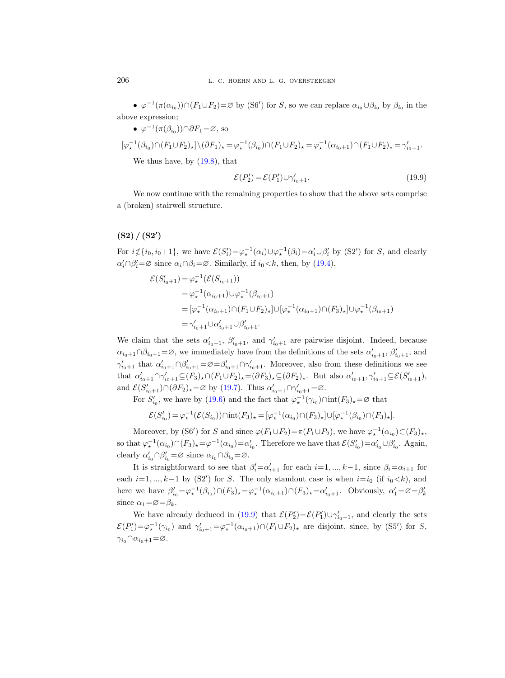•  $\varphi^{-1}(\pi(\alpha_{i_0})) \cap (F_1 \cup F_2) = \varnothing$  by (S6') for S, so we can replace  $\alpha_{i_0} \cup \beta_{i_0}$  by  $\beta_{i_0}$  in the above expression;

\n- \n
$$
\varphi^{-1}(\pi(\beta_{i_0})) \cap \partial F_1 = \varnothing
$$
, so\n  $[\varphi_\star^{-1}(\beta_{i_0}) \cap (F_1 \cup F_2)_\star] \setminus (\partial F_1)_\star = \varphi_\star^{-1}(\beta_{i_0}) \cap (F_1 \cup F_2)_\star = \varphi_\star^{-1}(\alpha_{i_0+1}) \cap (F_1 \cup F_2)_\star = \gamma'_{i_0+1}.$ \n We thus have, by (19.8), that\n
\n

<span id="page-29-0"></span>
$$
\mathcal{E}(P_2') = \mathcal{E}(P_1') \cup \gamma_{i_0+1}'.\tag{19.9}
$$

We now continue with the remaining properties to show that the above sets comprise a (broken) stairwell structure.

# $(S2) / (S2')$

For  $i \notin \{i_0, i_0+1\}$ , we have  $\mathcal{E}(S_i') = \varphi_\star^{-1}(\alpha_i) \cup \varphi_\star^{-1}(\beta_i) = \alpha_i' \cup \beta_i'$  by (S2') for S, and clearly  $\alpha'_i \cap \beta'_i = \emptyset$  since  $\alpha_i \cap \beta_i = \emptyset$ . Similarly, if  $i_0 < k$ , then, by [\(19.4\)](#page-26-3),

$$
\mathcal{E}(S'_{i_0+1}) = \varphi_{\star}^{-1}(\mathcal{E}(S_{i_0+1}))
$$
  
\n
$$
= \varphi_{\star}^{-1}(\alpha_{i_0+1}) \cup \varphi_{\star}^{-1}(\beta_{i_0+1})
$$
  
\n
$$
= [\varphi_{\star}^{-1}(\alpha_{i_0+1}) \cap (F_1 \cup F_2)_{\star}] \cup [\varphi_{\star}^{-1}(\alpha_{i_0+1}) \cap (F_3)_{\star}] \cup \varphi_{\star}^{-1}(\beta_{i_0+1})
$$
  
\n
$$
= \gamma'_{i_0+1} \cup \alpha'_{i_0+1} \cup \beta'_{i_0+1}.
$$

We claim that the sets  $\alpha'_{i_0+1}$ ,  $\beta'_{i_0+1}$ , and  $\gamma'_{i_0+1}$  are pairwise disjoint. Indeed, because  $\alpha_{i_0+1}\cap\beta_{i_0+1}=\varnothing$ , we immediately have from the definitions of the sets  $\alpha'_{i_0+1},\beta'_{i_0+1}$ , and  $\gamma'_{i_0+1}$  that  $\alpha'_{i_0+1}\cap\beta'_{i_0+1}=\varnothing=\beta'_{i_0+1}\cap\gamma'_{i_0+1}$ . Moreover, also from these definitions we see that  $\alpha'_{i_0+1} \cap \gamma'_{i_0+1} \subseteq (F_3)_\star \cap (F_1 \cup F_2)_\star = (\partial F_3)_\star \subseteq (\partial F_2)_\star$ . But also  $\alpha'_{i_0+1}, \gamma'_{i_0+1} \subseteq \mathcal{E}(S'_{i_0+1}),$ and  $\mathcal{E}(S'_{i_0+1}) \cap (\partial F_2)_\star = \varnothing$  by [\(19.7\)](#page-28-1). Thus  $\alpha'_{i_0+1} \cap \gamma'_{i_0+1} = \varnothing$ .

For  $S'_{i_0}$ , we have by [\(19.6\)](#page-28-2) and the fact that  $\varphi_\star^{-1}(\gamma_{i_0}) \cap \text{int}(F_3)_\star = \varnothing$  that

 $\mathcal{E}(S'_{i_0}) = \varphi_\star^{-1}(\mathcal{E}(S_{i_0})) \cap \text{int}(F_3)_\star = [\varphi_\star^{-1}(\alpha_{i_0}) \cap (F_3)_\star] \cup [\varphi_\star^{-1}(\beta_{i_0}) \cap (F_3)_\star].$ 

Moreover, by (S6') for S and since  $\varphi(F_1 \cup F_2) = \pi(P_1 \cup P_2)$ , we have  $\varphi_*^{-1}(\alpha_{i_0}) \subset (F_3)_\star$ , so that  $\varphi_\star^{-1}(\alpha_{i_0}) \cap (F_3)_\star = \varphi^{-1}(\alpha_{i_0}) = \alpha'_{i_0}$ . Therefore we have that  $\mathcal{E}(S'_{i_0}) = \alpha'_{i_0} \cup \beta'_{i_0}$ . Again, clearly  $\alpha'_{i_0} \cap \beta'_{i_0} = \varnothing$  since  $\alpha_{i_0} \cap \beta_{i_0} = \varnothing$ .

It is straightforward to see that  $\beta_i' = \alpha_{i+1}'$  for each  $i = 1, ..., k-1$ , since  $\beta_i = \alpha_{i+1}$  for each  $i=1, ..., k-1$  by (S2') for S. The only standout case is when  $i=i_0$  (if  $i_0 < k$ ), and here we have  $\beta'_{i_0} = \varphi_\star^{-1}(\beta_{i_0}) \cap (F_3)_\star = \varphi_\star^{-1}(\alpha_{i_0+1}) \cap (F_3)_\star = \alpha'_{i_0+1}$ . Obviously,  $\alpha'_1 = \varnothing = \beta'_k$ since  $\alpha_1 = \varnothing = \beta_k$ .

We have already deduced in [\(19.9\)](#page-29-0) that  $\mathcal{E}(P_2') = \mathcal{E}(P_1') \cup \gamma_{i_0+1}'$ , and clearly the sets  $\mathcal{E}(P_1') = \varphi_\star^{-1}(\gamma_{i_0})$  and  $\gamma_{i_0+1}' = \varphi_\star^{-1}(\alpha_{i_0+1}) \cap (F_1 \cup F_2)_\star$  are disjoint, since, by (S5') for S,  $\gamma_{i_0} \cap \alpha_{i_0+1} = \varnothing$ .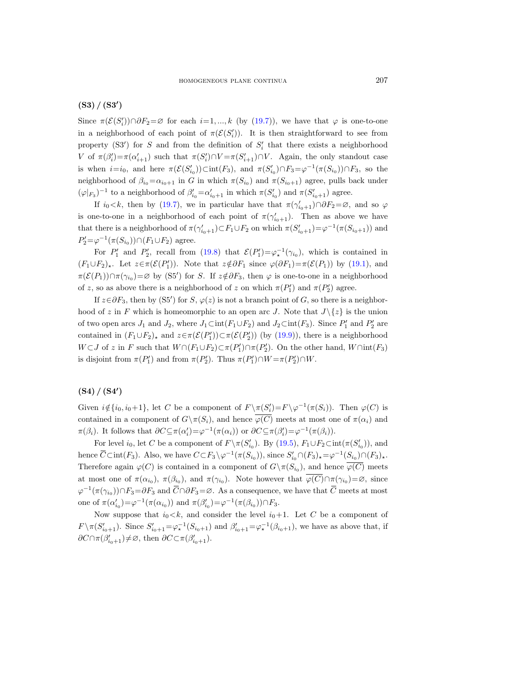# $(S3) / (S3')$

Since  $\pi(\mathcal{E}(S_i')) \cap \partial F_2 = \varnothing$  for each  $i = 1, ..., k$  (by [\(19.7\)](#page-28-1)), we have that  $\varphi$  is one-to-one in a neighborhood of each point of  $\pi(\mathcal{E}(S_i'))$ . It is then straightforward to see from property (S3') for S and from the definition of  $S_i'$  that there exists a neighborhood V of  $\pi(\beta_i') = \pi(\alpha_{i+1}')$  such that  $\pi(S_i') \cap V = \pi(S_{i+1}') \cap V$ . Again, the only standout case is when  $i=i_0$ , and here  $\pi(\mathcal{E}(S'_{i_0}))\subset \text{int}(F_3)$ , and  $\pi(S'_{i_0})\cap F_3=\varphi^{-1}(\pi(S_{i_0}))\cap F_3$ , so the neighborhood of  $\beta_{i_0} = \alpha_{i_0+1}$  in G in which  $\pi(S_{i_0})$  and  $\pi(S_{i_0+1})$  agree, pulls back under  $(\varphi|_{F_3})^{-1}$  to a neighborhood of  $\beta'_{i_0} = \alpha'_{i_0+1}$  in which  $\pi(S'_{i_0})$  and  $\pi(S'_{i_0+1})$  agree.

If  $i_0 < k$ , then by [\(19.7\)](#page-28-1), we in particular have that  $\pi(\gamma_{i_0+1}') \cap \partial F_2 = \emptyset$ , and so  $\varphi$ is one-to-one in a neighborhood of each point of  $\pi(\gamma_{i_0+1}')$ . Then as above we have that there is a neighborhood of  $\pi(\gamma'_{i_0+1}) \subset F_1 \cup F_2$  on which  $\pi(S'_{i_0+1}) = \varphi^{-1}(\pi(S_{i_0+1}))$  and  $P_2' = \varphi^{-1}(\pi(S_{i_0})) \cap (F_1 \cup F_2)$  agree.

For  $P'_1$  and  $P'_2$ , recall from [\(19.8\)](#page-28-0) that  $\mathcal{E}(P'_1) = \varphi_*^{-1}(\gamma_{i_0})$ , which is contained in  $(F_1 \cup F_2)_*$ . Let  $z \in \pi(\mathcal{E}(P'_1))$ . Note that  $z \notin \partial F_1$  since  $\varphi(\partial F_1) = \pi(\mathcal{E}(P_1))$  by [\(19.1\)](#page-26-1), and  $\pi(\mathcal{E}(P_1)) \cap \pi(\gamma_{i_0}) = \varnothing$  by (S5') for S. If  $z \notin \partial F_3$ , then  $\varphi$  is one-to-one in a neighborhood of z, so as above there is a neighborhood of z on which  $\pi(P'_1)$  and  $\pi(P'_2)$  agree.

If  $z \in \partial F_3$ , then by (S5') for S,  $\varphi(z)$  is not a branch point of G, so there is a neighborhood of z in F which is homeomorphic to an open arc J. Note that  $J\setminus\{z\}$  is the union of two open arcs  $J_1$  and  $J_2$ , where  $J_1 \text{Cint}(F_1 \cup F_2)$  and  $J_2 \text{Cint}(F_3)$ . Since  $P'_1$  and  $P'_2$  are contained in  $(F_1 \cup F_2)_*$  and  $z \in \pi(\mathcal{E}(P'_1)) \subset \pi(\mathcal{E}(P'_2))$  (by [\(19.9\)](#page-29-0)), there is a neighborhood  $W \subset J$  of z in F such that  $W \cap (F_1 \cup F_2) \subset \pi(P'_1) \cap \pi(P'_2)$ . On the other hand,  $W \cap int(F_3)$ is disjoint from  $\pi(P'_1)$  and from  $\pi(P'_2)$ . Thus  $\pi(P'_1) \cap W = \pi(P'_2) \cap W$ .

# $(S4) / (S4')$

Given  $i \notin \{i_0, i_0+1\}$ , let C be a component of  $F \setminus \pi(S_i') = F \setminus \varphi^{-1}(\pi(S_i))$ . Then  $\varphi(C)$  is contained in a component of  $G\setminus \pi(S_i)$ , and hence  $\overline{\varphi(C)}$  meets at most one of  $\pi(\alpha_i)$  and  $\pi(\beta_i)$ . It follows that  $\partial C \subseteq \pi(\alpha_i') = \varphi^{-1}(\pi(\alpha_i))$  or  $\partial C \subseteq \pi(\beta_i') = \varphi^{-1}(\pi(\beta_i))$ .

For level  $i_0$ , let C be a component of  $F \setminus \pi(S'_{i_0})$ . By [\(19.5\)](#page-28-3),  $F_1 \cup F_2 \subset \text{int}(\pi(S'_{i_0}))$ , and hence  $\overline{C} \text{Cint}(F_3)$ . Also, we have  $C \subset F_3 \setminus \varphi^{-1}(\pi(S_{i_0}))$ , since  $S'_{i_0} \cap (F_3)_* = \varphi^{-1}(S_{i_0}) \cap (F_3)_*$ . Therefore again  $\varphi(C)$  is contained in a component of  $G \setminus \pi(S_{i_0})$ , and hence  $\varphi(C)$  meets at most one of  $\pi(\alpha_{i_0}), \pi(\beta_{i_0}),$  and  $\pi(\gamma_{i_0})$ . Note however that  $\overline{\varphi(C)} \cap \pi(\gamma_{i_0}) = \emptyset$ , since  $\varphi^{-1}(\pi(\gamma_{i_0})) \cap F_3 = \partial F_3$  and  $\overline{C} \cap \partial F_3 = \varnothing$ . As a consequence, we have that  $\overline{C}$  meets at most one of  $\pi(\alpha'_{i_0}) = \varphi^{-1}(\pi(\alpha_{i_0}))$  and  $\pi(\beta'_{i_0}) = \varphi^{-1}(\pi(\beta_{i_0})) \cap F_3$ .

Now suppose that  $i_0 < k$ , and consider the level  $i_0+1$ . Let C be a component of  $F \setminus \pi(S'_{i_0+1})$ . Since  $S'_{i_0+1} = \varphi_\star^{-1}(S_{i_0+1})$  and  $\beta'_{i_0+1} = \varphi_\star^{-1}(\beta_{i_0+1})$ , we have as above that, if  $\partial C \cap \pi(\beta'_{i_0+1}) \neq \emptyset$ , then  $\partial C \subset \pi(\beta'_{i_0+1})$ .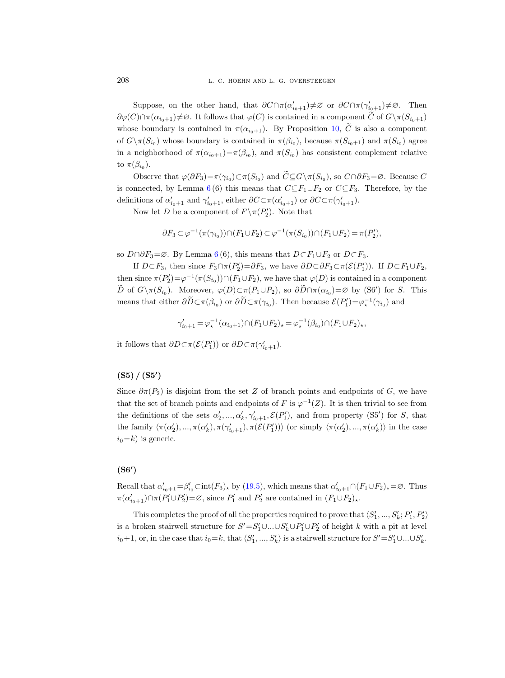Suppose, on the other hand, that  $\partial C \cap \pi(\alpha'_{i_0+1}) \neq \emptyset$  or  $\partial C \cap \pi(\gamma'_{i_0+1}) \neq \emptyset$ . Then  $\partial\varphi(C)\cap\pi(\alpha_{i_0+1})\neq\emptyset$ . It follows that  $\varphi(C)$  is contained in a component C of  $G\setminus\pi(S_{i_0+1})$ whose boundary is contained in  $\pi(\alpha_{i0+1})$ . By Proposition [10,](#page-13-0) C is also a component of  $G \setminus \pi(S_{i_0})$  whose boundary is contained in  $\pi(\beta_{i_0})$ , because  $\pi(S_{i_0+1})$  and  $\pi(S_{i_0})$  agree in a neighborhood of  $\pi(\alpha_{i_0+1}) = \pi(\beta_{i_0})$ , and  $\pi(S_{i_0})$  has consistent complement relative to  $\pi(\beta_{i_0})$ .

Observe that  $\varphi(\partial F_3) = \pi(\gamma_{i_0}) \subset \pi(S_{i_0})$  and  $\widetilde{C} \subseteq G \setminus \pi(S_{i_0})$ , so  $C \cap \partial F_3 = \varnothing$ . Because C is connected, by Lemma [6](#page-8-1) (6) this means that  $C\subseteq F_1\cup F_2$  or  $C\subseteq F_3$ . Therefore, by the definitions of  $\alpha'_{i_0+1}$  and  $\gamma'_{i_0+1}$ , either  $\partial C \subset \pi(\alpha'_{i_0+1})$  or  $\partial C \subset \pi(\gamma'_{i_0+1})$ .

Now let D be a component of  $F \setminus \pi(P'_2)$ . Note that

$$
\partial F_3 \subset \varphi^{-1}(\pi(\gamma_{i_0})) \cap (F_1 \cup F_2) \subset \varphi^{-1}(\pi(S_{i_0})) \cap (F_1 \cup F_2) = \pi(P_2'),
$$

so  $D \cap \partial F_3 = \emptyset$ . By Lemma [6](#page-8-1)(6), this means that  $D \subset F_1 \cup F_2$  or  $D \subset F_3$ .

If  $D \subset F_3$ , then since  $F_3 \cap \pi(P_2') = \partial F_3$ , we have  $\partial D \subset \partial F_3 \subset \pi(\mathcal{E}(P_1'))$ . If  $D \subset F_1 \cup F_2$ , then since  $\pi(P'_2) = \varphi^{-1}(\pi(S_{i_0})) \cap (F_1 \cup F_2)$ , we have that  $\varphi(D)$  is contained in a component  $\widetilde{D}$  of  $G \setminus \pi(S_{i_0})$ . Moreover,  $\varphi(D) \subset \pi(P_1 \cup P_2)$ , so  $\partial \widetilde{D} \cap \pi(\alpha_{i_0}) = \varnothing$  by (S6') for S. This means that either  $\partial D \subset \pi(\beta_{i_0})$  or  $\partial D \subset \pi(\gamma_{i_0})$ . Then because  $\mathcal{E}(P'_1) = \varphi_*^{-1}(\gamma_{i_0})$  and

$$
\gamma_{i_0+1}' = \varphi_\star^{-1}(\alpha_{i_0+1}) \cap (F_1 \cup F_2)_\star = \varphi_\star^{-1}(\beta_{i_0}) \cap (F_1 \cup F_2)_\star,
$$

it follows that  $\partial D \subset \pi(\mathcal{E}(P_1'))$  or  $\partial D \subset \pi(\gamma_{i_0+1}')$ .

# $(S5) / (S5')$

Since  $\partial \pi(P_2)$  is disjoint from the set Z of branch points and endpoints of G, we have that the set of branch points and endpoints of F is  $\varphi^{-1}(Z)$ . It is then trivial to see from the definitions of the sets  $\alpha'_2, ..., \alpha'_k, \gamma'_{i_0+1}, \mathcal{E}(P'_1)$ , and from property (S5') for S, that the family  $\langle \pi(\alpha'_2), ..., \pi(\alpha'_k), \pi(\gamma'_{i_0+1}), \pi(\mathcal{E}(P'_1)) \rangle$  (or simply  $\langle \pi(\alpha'_2), ..., \pi(\alpha'_k) \rangle$  in the case  $i_0=k$ ) is generic.

# $(S6')$

Recall that  $\alpha'_{i_0+1} = \beta'_{i_0} \text{Cint}(F_3)_{\star}$  by [\(19.5\)](#page-28-3), which means that  $\alpha'_{i_0+1} \cap (F_1 \cup F_2)_{\star} = \emptyset$ . Thus  $\pi(\alpha'_{i_0+1}) \cap \pi(P_1' \cup P_2') = \emptyset$ , since  $P_1'$  and  $P_2'$  are contained in  $(F_1 \cup F_2)_\star$ .

This completes the proof of all the properties required to prove that  $\langle S'_1, ..., S'_k; P'_1, P'_2 \rangle$ is a broken stairwell structure for  $S' = S'_1 \cup ... \cup S'_k \cup P'_1 \cup P'_2$  of height k with a pit at level  $i_0+1$ , or, in the case that  $i_0=k$ , that  $\langle S'_1, ..., S'_k \rangle$  is a stairwell structure for  $S' = S'_1 \cup ... \cup S'_k$ .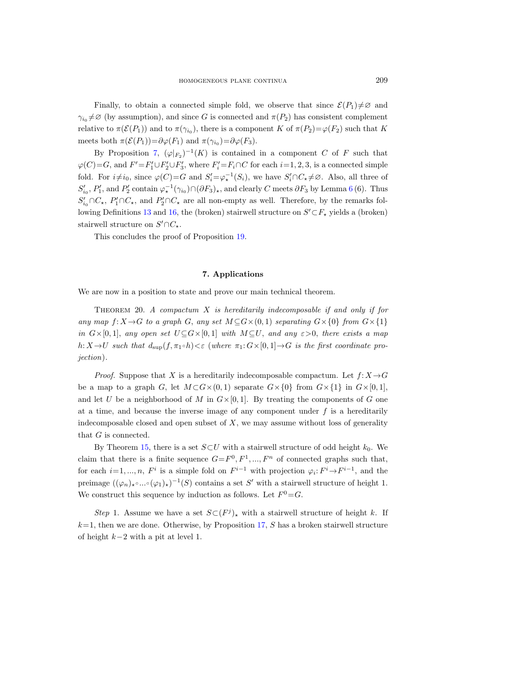Finally, to obtain a connected simple fold, we observe that since  $\mathcal{E}(P_1)\neq\emptyset$  and  $\gamma_{i_0} \neq \emptyset$  (by assumption), and since G is connected and  $\pi(P_2)$  has consistent complement relative to  $\pi(\mathcal{E}(P_1))$  and to  $\pi(\gamma_{i_0})$ , there is a component K of  $\pi(P_2)=\varphi(F_2)$  such that K meets both  $\pi(\mathcal{E}(P_1)) = \partial \varphi(F_1)$  and  $\pi(\gamma_{i_0}) = \partial \varphi(F_3)$ .

By Proposition [7,](#page-9-1)  $(\varphi|_{F_2})^{-1}(K)$  is contained in a component C of F such that  $\varphi(C)=G$ , and  $F'=F_1'\cup F_2'\cup F_3'$ , where  $F_i'=F_i\cap C$  for each  $i=1,2,3$ , is a connected simple fold. For  $i\neq i_0$ , since  $\varphi(C)=G$  and  $S_i'=\varphi_*^{-1}(S_i)$ , we have  $S_i' \cap C_* \neq \emptyset$ . Also, all three of  $S'_{i_0}, P'_1$ , and  $P'_2$  contain  $\varphi_\star^{-1}(\gamma_{i_0}) \cap (\partial F_3)_\star$ , and clearly C meets  $\partial F_3$  by Lemma [6](#page-8-1) (6). Thus  $S'_{i_0} \cap C_{\star}$ ,  $P'_1 \cap C_{\star}$ , and  $P'_2 \cap C_{\star}$  are all non-empty as well. Therefore, by the remarks fol-lowing Definitions [13](#page-15-0) and [16,](#page-22-1) the (broken) stairwell structure on  $S' \subset F_{\star}$  yields a (broken) stairwell structure on  $S' \cap C_{\star}$ .

This concludes the proof of Proposition [19.](#page-25-0)

#### 7. Applications

<span id="page-32-1"></span>We are now in a position to state and prove our main technical theorem.

<span id="page-32-0"></span>THEOREM 20. A compactum  $X$  is hereditarily indecomposable if and only if for any map  $f: X \rightarrow G$  to a graph G, any set  $M \subseteq G \times (0, 1)$  separating  $G \times \{0\}$  from  $G \times \{1\}$ in  $G\times[0,1]$ , any open set  $U\subseteq G\times[0,1]$  with  $M\subseteq U$ , and any  $\varepsilon>0$ , there exists a map h:  $X \to U$  such that  $d_{\text{sup}}(f, \pi_1 \circ h) < \varepsilon$  (where  $\pi_1: G \times [0, 1] \to G$  is the first coordinate projection).

*Proof.* Suppose that X is a hereditarily indecomposable compactum. Let  $f: X \rightarrow G$ be a map to a graph G, let  $M \subset G \times \{0, 1\}$  separate  $G \times \{0\}$  from  $G \times \{1\}$  in  $G \times [0, 1]$ , and let U be a neighborhood of M in  $G\times[0,1]$ . By treating the components of G one at a time, and because the inverse image of any component under  $f$  is a hereditarily indecomposable closed and open subset of  $X$ , we may assume without loss of generality that G is connected.

By Theorem [15,](#page-17-0) there is a set  $S\subset U$  with a stairwell structure of odd height  $k_0$ . We claim that there is a finite sequence  $G = F^0, F^1, ..., F^n$  of connected graphs such that, for each  $i=1, ..., n$ ,  $F^i$  is a simple fold on  $F^{i-1}$  with projection  $\varphi_i: F^i \to F^{i-1}$ , and the preimage  $((\varphi_n)_\star \circ \dots \circ (\varphi_1)_\star)^{-1}(S)$  contains a set S' with a stairwell structure of height 1. We construct this sequence by induction as follows. Let  $F^0 = G$ .

Step 1. Assume we have a set  $S\subset (F^j)_*$  with a stairwell structure of height k. If  $k=1$ , then we are done. Otherwise, by Proposition [17,](#page-23-0) S has a broken stairwell structure of height  $k-2$  with a pit at level 1.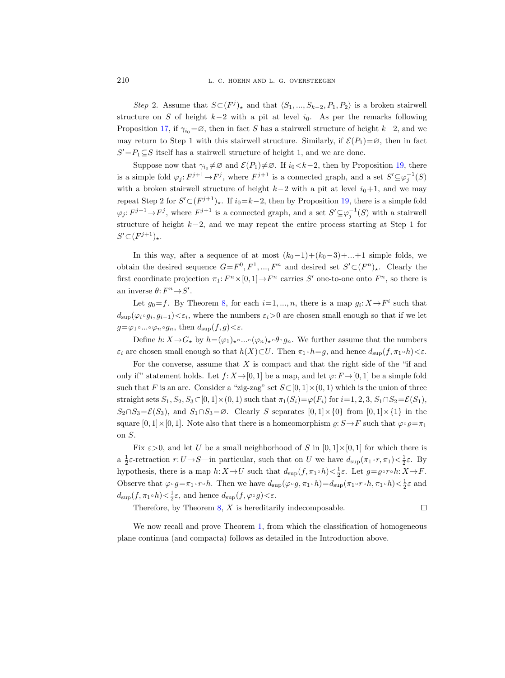Step 2. Assume that  $S\subset (F^j)_*$  and that  $\langle S_1,...,S_{k-2}, P_1, P_2 \rangle$  is a broken stairwell structure on S of height  $k-2$  with a pit at level  $i_0$ . As per the remarks following Proposition [17,](#page-23-0) if  $\gamma_{i0} = \emptyset$ , then in fact S has a stairwell structure of height k–2, and we may return to Step 1 with this stairwell structure. Similarly, if  $\mathcal{E}(P_1)=\emptyset$ , then in fact  $S' = P_1 \subseteq S$  itself has a stairwell structure of height 1, and we are done.

Suppose now that  $\gamma_{i_0} \neq \emptyset$  and  $\mathcal{E}(P_1) \neq \emptyset$ . If  $i_0 < k-2$ , then by Proposition [19,](#page-25-0) there is a simple fold  $\varphi_j: F^{j+1} \to F^j$ , where  $F^{j+1}$  is a connected graph, and a set  $S' \subseteq \varphi_j^{-1}(S)$ with a broken stairwell structure of height  $k-2$  with a pit at level  $i_0+1$ , and we may repeat Step 2 for  $S' \subset (F^{j+1})_{\star}$ . If  $i_0 = k-2$ , then by Proposition [19,](#page-25-0) there is a simple fold  $\varphi_j: F^{j+1} \to F^j$ , where  $F^{j+1}$  is a connected graph, and a set  $S' \subseteq \varphi_j^{-1}(S)$  with a stairwell structure of height k−2, and we may repeat the entire process starting at Step 1 for  $S' \subset (F^{j+1})_*$ .

In this way, after a sequence of at most  $(k_0-1)+(k_0-3)+...+1$  simple folds, we obtain the desired sequence  $G = F^0, F^1, ..., F^n$  and desired set  $S' \subset (F^n)_*$ . Clearly the first coordinate projection  $\pi_1: F^n \times [0,1] \to F^n$  carries S' one-to-one onto  $F^n$ , so there is an inverse  $\theta: F^n {\,\rightarrow\,} S'.$ 

Let  $g_0 = f$ . By Theorem [8,](#page-10-0) for each  $i = 1, ..., n$ , there is a map  $g_i: X \to F^i$  such that  $d_{\text{sup}}(\varphi_i \circ g_i, g_{i-1}) < \varepsilon_i$ , where the numbers  $\varepsilon_i > 0$  are chosen small enough so that if we let  $g=\varphi_1\circ...\circ\varphi_n\circ g_n$ , then  $d_{\text{sup}}(f,g)<\varepsilon$ .

Define  $h: X \to G_{\star}$  by  $h = (\varphi_1)_{\star} \circ ... \circ (\varphi_n)_{\star} \circ \theta \circ g_n$ . We further assume that the numbers  $\varepsilon_i$  are chosen small enough so that  $h(X) \subset U$ . Then  $\pi_1 \circ h = g$ , and hence  $d_{\text{sup}}(f, \pi_1 \circ h) < \varepsilon$ .

For the converse, assume that  $X$  is compact and that the right side of the "if and only if" statement holds. Let  $f: X \rightarrow [0, 1]$  be a map, and let  $\varphi: F \rightarrow [0, 1]$  be a simple fold such that F is an arc. Consider a "zig-zag" set  $S\subset [0,1]\times(0,1)$  which is the union of three straight sets  $S_1, S_2, S_3 \subset [0, 1] \times (0, 1)$  such that  $\pi_1(S_i) = \varphi(F_i)$  for  $i = 1, 2, 3, S_1 \cap S_2 = \mathcal{E}(S_1)$ ,  $S_2 \cap S_3 = \mathcal{E}(S_3)$ , and  $S_1 \cap S_3 = \emptyset$ . Clearly S separates  $[0,1] \times \{0\}$  from  $[0,1] \times \{1\}$  in the square  $[0, 1] \times [0, 1]$ . Note also that there is a homeomorphism  $\varrho: S \to F$  such that  $\varphi \circ \varrho = \pi_1$ on S.

Fix  $\varepsilon > 0$ , and let U be a small neighborhood of S in  $[0, 1] \times [0, 1]$  for which there is a  $\frac{1}{2}\varepsilon$ -retraction  $r: U \to S$ —in particular, such that on U we have  $d_{\text{sup}}(\pi_1 \circ r, \pi_1) < \frac{1}{2}\varepsilon$ . By hypothesis, there is a map  $h: X \to U$  such that  $d_{\text{sup}}(f, \pi_1 \circ h) < \frac{1}{2}\varepsilon$ . Let  $g = \rho \circ r \circ h: X \to F$ . Observe that  $\varphi \circ g = \pi_1 \circ r \circ h$ . Then we have  $d_{\text{sup}}(\varphi \circ g, \pi_1 \circ h) = d_{\text{sup}}(\pi_1 \circ r \circ h, \pi_1 \circ h) < \frac{1}{2}\varepsilon$  and  $d_{\text{sup}}(f, \pi_1 \circ h) < \frac{1}{2}\varepsilon$ , and hence  $d_{\text{sup}}(f, \varphi \circ g) < \varepsilon$ .

Therefore, by Theorem  $8$ ,  $X$  is hereditarily indecomposable.

 $\Box$ 

We now recall and prove Theorem [1,](#page-3-1) from which the classification of homogeneous plane continua (and compacta) follows as detailed in the Introduction above.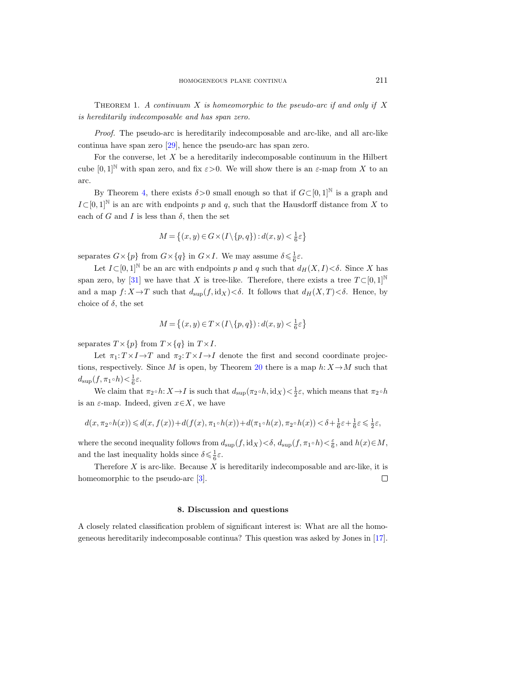THEOREM 1. A continuum X is homeomorphic to the pseudo-arc if and only if X is hereditarily indecomposable and has span zero.

Proof. The pseudo-arc is hereditarily indecomposable and arc-like, and all arc-like continua have span zero [\[29\]](#page-38-10), hence the pseudo-arc has span zero.

For the converse, let  $X$  be a hereditarily indecomposable continuum in the Hilbert cube  $[0,1]^{\mathbb{N}}$  with span zero, and fix  $\varepsilon > 0$ . We will show there is an  $\varepsilon$ -map from X to an arc.

By Theorem [4,](#page-7-2) there exists  $\delta > 0$  small enough so that if  $G \subset [0, 1]^{\mathbb{N}}$  is a graph and  $I\subset [0,1]^{\mathbb{N}}$  is an arc with endpoints p and q, such that the Hausdorff distance from X to each of G and I is less than  $\delta$ , then the set

$$
M = \left\{ (x, y) \in G \times (I \setminus \{p, q\}) : d(x, y) < \frac{1}{6}\varepsilon \right\}
$$

separates  $G \times \{p\}$  from  $G \times \{q\}$  in  $G \times I$ . We may assume  $\delta \leq \frac{1}{6}\varepsilon$ .

Let  $I\subset [0,1]^{\mathbb{N}}$  be an arc with endpoints p and q such that  $d_H(X, I)<\delta$ . Since X has span zero, by [\[31\]](#page-38-24) we have that X is tree-like. Therefore, there exists a tree  $T \subset [0,1]^{\mathbb{N}}$ and a map  $f: X \to T$  such that  $d_{\text{sup}}(f, \text{id}_X) < \delta$ . It follows that  $d_H(X, T) < \delta$ . Hence, by choice of  $\delta$ , the set

$$
M = \left\{ (x, y) \in T \times (I \setminus \{p, q\}) : d(x, y) < \frac{1}{6}\varepsilon \right\}
$$

separates  $T \times \{p\}$  from  $T \times \{q\}$  in  $T \times I$ .

Let  $\pi_1: T \times I \to T$  and  $\pi_2: T \times I \to I$  denote the first and second coordinate projec-tions, respectively. Since M is open, by Theorem [20](#page-32-0) there is a map  $h: X \to M$  such that  $d_{\text{sup}}(f, \pi_1 \circ h) < \frac{1}{6}\varepsilon.$ 

We claim that  $\pi_2 \circ h: X \to I$  is such that  $d_{\text{sup}}(\pi_2 \circ h, \text{id}_X) < \frac{1}{2}\varepsilon$ , which means that  $\pi_2 \circ h$ is an  $\varepsilon$ -map. Indeed, given  $x \in X$ , we have

$$
d(x,\pi_2\circ h(x))\leqslant d(x,f(x))+d(f(x),\pi_1\circ h(x))+d(\pi_1\circ h(x),\pi_2\circ h(x))<\delta+\tfrac{1}{6}\varepsilon+\tfrac{1}{6}\varepsilon\leqslant\tfrac{1}{2}\varepsilon,
$$

where the second inequality follows from  $d_{\text{sup}}(f, \text{id}_X) < \delta$ ,  $d_{\text{sup}}(f, \pi_1 \circ h) < \frac{\varepsilon}{6}$ , and  $h(x) \in M$ , and the last inequality holds since  $\delta \leq \frac{1}{6}\varepsilon$ .

Therefore  $X$  is arc-like. Because  $X$  is hereditarily indecomposable and arc-like, it is homeomorphic to the pseudo-arc [\[3\]](#page-37-12).  $\Box$ 

#### 8. Discussion and questions

<span id="page-34-0"></span>A closely related classification problem of significant interest is: What are all the homogeneous hereditarily indecomposable continua? This question was asked by Jones in [\[17\]](#page-37-16).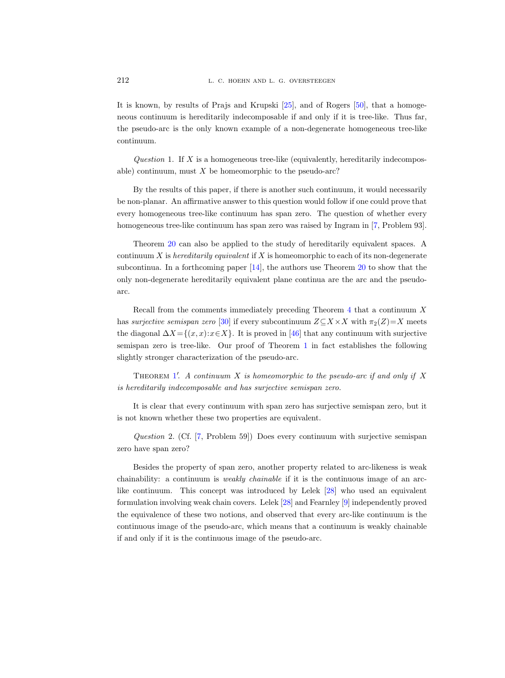It is known, by results of Prajs and Krupski [\[25\]](#page-38-26), and of Rogers [\[50\]](#page-38-27), that a homogeneous continuum is hereditarily indecomposable if and only if it is tree-like. Thus far, the pseudo-arc is the only known example of a non-degenerate homogeneous tree-like continuum.

Question 1. If  $X$  is a homogeneous tree-like (equivalently, hereditarily indecomposable) continuum, must  $X$  be homeomorphic to the pseudo-arc?

By the results of this paper, if there is another such continuum, it would necessarily be non-planar. An affirmative answer to this question would follow if one could prove that every homogeneous tree-like continuum has span zero. The question of whether every homogeneous tree-like continuum has span zero was raised by Ingram in [\[7,](#page-37-17) Problem 93].

Theorem [20](#page-32-0) can also be applied to the study of hereditarily equivalent spaces. A continuum X is hereditarily equivalent if X is homeomorphic to each of its non-degenerate subcontinua. In a forthcoming paper [\[14\]](#page-37-18), the authors use Theorem [20](#page-32-0) to show that the only non-degenerate hereditarily equivalent plane continua are the arc and the pseudoarc.

Recall from the comments immediately preceding Theorem [4](#page-7-2) that a continuum X has surjective semispan zero [\[30\]](#page-38-20) if every subcontinuum  $Z\subseteq X\times X$  with  $\pi_2(Z)=X$  meets the diagonal  $\Delta X = \{(x, x): x \in X\}$ . It is proved in [\[46\]](#page-38-19) that any continuum with surjective semispan zero is tree-like. Our proof of Theorem [1](#page-3-1) in fact establishes the following slightly stronger characterization of the pseudo-arc.

THEOREM [1](#page-3-1)'. A continuum  $X$  is homeomorphic to the pseudo-arc if and only if  $X$ is hereditarily indecomposable and has surjective semispan zero.

It is clear that every continuum with span zero has surjective semispan zero, but it is not known whether these two properties are equivalent.

Question 2. (Cf. [\[7,](#page-37-17) Problem 59]) Does every continuum with surjective semispan zero have span zero?

Besides the property of span zero, another property related to arc-likeness is weak chainability: a continuum is *weakly chainable* if it is the continuous image of an arclike continuum. This concept was introduced by Lelek [\[28\]](#page-38-28) who used an equivalent formulation involving weak chain covers. Lelek [\[28\]](#page-38-28) and Fearnley [\[9\]](#page-37-19) independently proved the equivalence of these two notions, and observed that every arc-like continuum is the continuous image of the pseudo-arc, which means that a continuum is weakly chainable if and only if it is the continuous image of the pseudo-arc.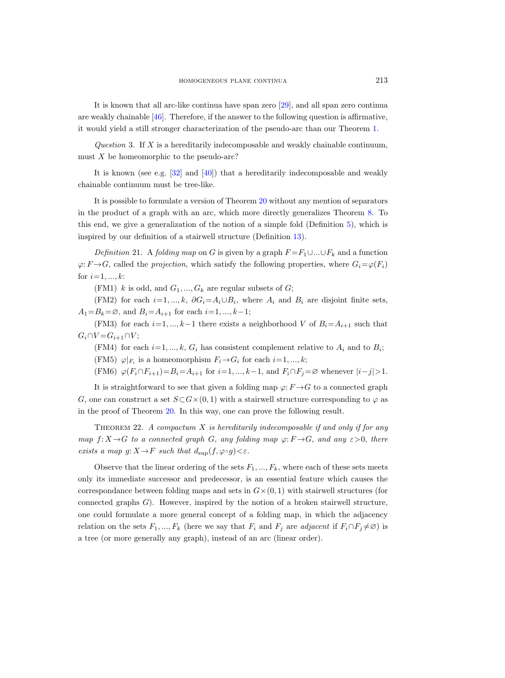It is known that all arc-like continua have span zero [\[29\]](#page-38-10), and all span zero continua are weakly chainable  $[46]$ . Therefore, if the answer to the following question is affirmative, it would yield a still stronger characterization of the pseudo-arc than our Theorem [1.](#page-3-1)

Question 3. If  $X$  is a hereditarily indecomposable and weakly chainable continuum, must  $X$  be homeomorphic to the pseudo-arc?

It is known (see e.g. [\[32\]](#page-38-29) and [\[40\]](#page-38-30)) that a hereditarily indecomposable and weakly chainable continuum must be tree-like.

It is possible to formulate a version of Theorem [20](#page-32-0) without any mention of separators in the product of a graph with an arc, which more directly generalizes Theorem [8.](#page-10-0) To this end, we give a generalization of the notion of a simple fold (Definition [5\)](#page-7-1), which is inspired by our definition of a stairwell structure (Definition [13\)](#page-15-0).

Definition 21. A folding map on G is given by a graph  $F = F_1 \cup ... \cup F_k$  and a function  $\varphi: F \to G$ , called the projection, which satisfy the following properties, where  $G_i = \varphi(F_i)$ for  $i=1, ..., k$ :

(FM1) k is odd, and  $G_1, ..., G_k$  are regular subsets of G;

(FM2) for each  $i=1, ..., k$ ,  $\partial G_i = A_i \cup B_i$ , where  $A_i$  and  $B_i$  are disjoint finite sets,  $A_1 = B_k = \emptyset$ , and  $B_i = A_{i+1}$  for each  $i = 1, ..., k-1$ ;

(FM3) for each  $i=1, ..., k-1$  there exists a neighborhood V of  $B_i = A_{i+1}$  such that  $G_i \cap V = G_{i+1} \cap V;$ 

(FM4) for each  $i=1, ..., k$ ,  $G_i$  has consistent complement relative to  $A_i$  and to  $B_i$ ; (FM5)  $\varphi|_{F_i}$  is a homeomorphism  $F_i \rightarrow G_i$  for each  $i=1, ..., k;$ 

(FM6)  $\varphi(F_i \cap F_{i+1}) = B_i = A_{i+1}$  for  $i = 1, ..., k-1$ , and  $F_i \cap F_j = \varnothing$  whenever  $|i - j| > 1$ .

It is straightforward to see that given a folding map  $\varphi: F \to G$  to a connected graph G, one can construct a set  $S\subset G\times(0,1)$  with a stairwell structure corresponding to  $\varphi$  as in the proof of Theorem [20.](#page-32-0) In this way, one can prove the following result.

<span id="page-36-0"></span>THEOREM 22. A compactum  $X$  is hereditarily indecomposable if and only if for any map  $f: X \rightarrow G$  to a connected graph G, any folding map  $\varphi: F \rightarrow G$ , and any  $\varepsilon > 0$ , there exists a map  $g: X \to F$  such that  $d_{\text{sup}}(f, \varphi \circ g) < \varepsilon$ .

Observe that the linear ordering of the sets  $F_1, ..., F_k$ , where each of these sets meets only its immediate successor and predecessor, is an essential feature which causes the correspondance between folding maps and sets in  $G \times (0, 1)$  with stairwell structures (for connected graphs  $G$ ). However, inspired by the notion of a broken stairwell structure, one could formulate a more general concept of a folding map, in which the adjacency relation on the sets  $F_1, ..., F_k$  (here we say that  $F_i$  and  $F_j$  are *adjacent* if  $F_i \cap F_j \neq \emptyset$ ) is a tree (or more generally any graph), instead of an arc (linear order).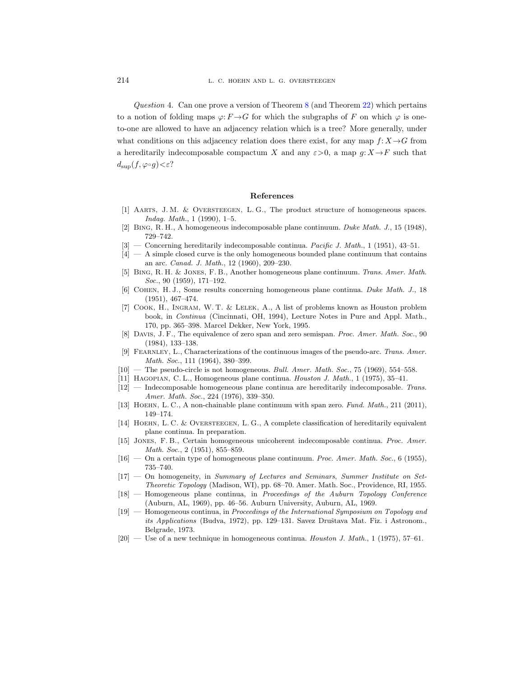Question 4. Can one prove a version of Theorem [8](#page-10-0) (and Theorem [22\)](#page-36-0) which pertains to a notion of folding maps  $\varphi: F \to G$  for which the subgraphs of F on which  $\varphi$  is oneto-one are allowed to have an adjacency relation which is a tree? More generally, under what conditions on this adjacency relation does there exist, for any map  $f: X \rightarrow G$  from a hereditarily indecomposable compactum X and any  $\varepsilon > 0$ , a map  $g: X \to F$  such that  $d_{\text{sup}}(f, \varphi \circ g) < \varepsilon$ ?

#### References

- <span id="page-37-15"></span>[1] Aarts, J. M. & Oversteegen, L. G., The product structure of homogeneous spaces. Indag. Math., 1 (1990), 1–5.
- <span id="page-37-3"></span>[2] Bing, R. H., A homogeneous indecomposable plane continuum. Duke Math. J., 15 (1948), 729–742.
- <span id="page-37-12"></span> $[3]$  — Concerning hereditarily indecomposable continua. Pacific J. Math., 1 (1951), 43–51.
- <span id="page-37-1"></span>[4] — A simple closed curve is the only homogeneous bounded plane continuum that contains an arc. Canad. J. Math., 12 (1960), 209–230.
- <span id="page-37-4"></span>[5] Bing, R. H. & Jones, F. B., Another homogeneous plane continuum. Trans. Amer. Math. Soc., 90 (1959), 171–192.
- <span id="page-37-0"></span>[6] Cohen, H. J., Some results concerning homogeneous plane continua. Duke Math. J., 18 (1951), 467–474.
- <span id="page-37-17"></span>[7] Cook, H., Ingram, W. T. & Lelek, A., A list of problems known as Houston problem book, in Continua (Cincinnati, OH, 1994), Lecture Notes in Pure and Appl. Math., 170, pp. 365–398. Marcel Dekker, New York, 1995.
- <span id="page-37-13"></span>[8] DAVIS, J. F., The equivalence of zero span and zero semispan. Proc. Amer. Math. Soc., 90 (1984), 133–138.
- <span id="page-37-19"></span>FEARNLEY, L., Characterizations of the continuous images of the pseudo-arc. Trans. Amer. Math. Soc., 111 (1964), 380–399.
- <span id="page-37-5"></span> $[10]$  — The pseudo-circle is not homogeneous. Bull. Amer. Math. Soc., 75 (1969), 554–558.
- <span id="page-37-2"></span>[11] Hagopian, C. L., Homogeneous plane continua. Houston J. Math., 1 (1975), 35–41.
- <span id="page-37-11"></span>[12] — Indecomposable homogeneous plane continua are hereditarily indecomposable. Trans. Amer. Math. Soc., 224 (1976), 339–350.
- <span id="page-37-14"></span>[13] HOEHN, L. C., A non-chainable plane continuum with span zero. Fund. Math., 211 (2011), 149–174.
- <span id="page-37-18"></span>[14] HOEHN, L. C. & OVERSTEEGEN, L. G., A complete classification of hereditarily equivalent plane continua. In preparation.
- <span id="page-37-9"></span>[15] Jones, F. B., Certain homogeneous unicoherent indecomposable continua. Proc. Amer. Math. Soc., 2 (1951), 855–859.
- <span id="page-37-10"></span> $[16]$  — On a certain type of homogeneous plane continuum. Proc. Amer. Math. Soc., 6 (1955), 735–740.
- <span id="page-37-16"></span>[17] — On homogeneity, in Summary of Lectures and Seminars, Summer Institute on Set-Theoretic Topology (Madison, WI), pp. 68–70. Amer. Math. Soc., Providence, RI, 1955.
- <span id="page-37-6"></span>[18] — Homogeneous plane continua, in Proceedings of the Auburn Topology Conference (Auburn, AL, 1969), pp. 46–56. Auburn University, Auburn, AL, 1969.
- <span id="page-37-7"></span>[19] — Homogeneous continua, in Proceedings of the International Symposium on Topology and its Applications (Budva, 1972), pp. 129–131. Savez Društava Mat. Fiz. i Astronom., Belgrade, 1973.
- <span id="page-37-8"></span> $[20]$  — Use of a new technique in homogeneous continua. Houston J. Math., 1 (1975), 57–61.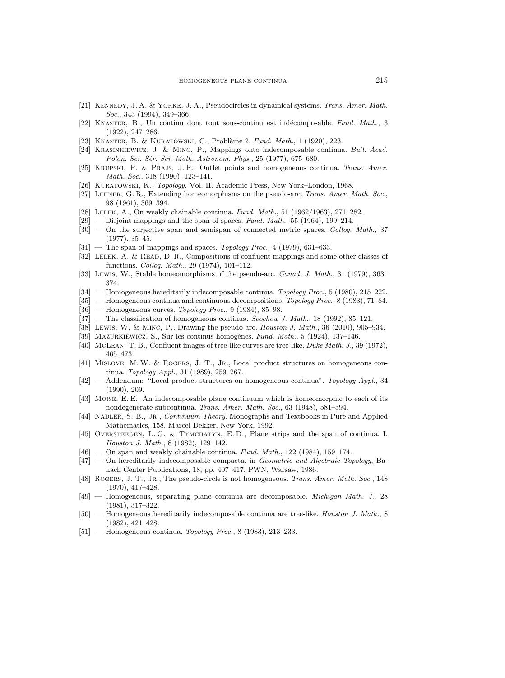- <span id="page-38-2"></span>[21] KENNEDY, J. A. & YORKE, J. A., Pseudocircles in dynamical systems. Trans. Amer. Math. Soc., 343 (1994), 349-366.
- <span id="page-38-15"></span>[22] KNASTER, B., Un continu dont tout sous-continu est indécomposable. Fund. Math., 3 (1922), 247–286.
- <span id="page-38-0"></span>[23] KNASTER, B. & KURATOWSKI, C., Problème 2. Fund. Math., 1 (1920), 223.
- <span id="page-38-23"></span>[24] Krasinkiewicz, J. & Minc, P., Mappings onto indecomposable continua. Bull. Acad. Polon. Sci. Sér. Sci. Math. Astronom. Phys., 25 (1977), 675–680.
- <span id="page-38-26"></span>[25] KRUPSKI, P. & PRAJS, J. R., Outlet points and homogeneous continua. Trans. Amer. Math. Soc., 318 (1990), 123–141.
- <span id="page-38-25"></span>[26] Kuratowski, K., Topology. Vol. II. Academic Press, New York–London, 1968.
- <span id="page-38-17"></span>[27] Lehner, G. R., Extending homeomorphisms on the pseudo-arc. Trans. Amer. Math. Soc., 98 (1961), 369–394.
- <span id="page-38-28"></span>[28] LELEK, A., On weakly chainable continua. Fund. Math., 51 (1962/1963), 271–282.
- <span id="page-38-10"></span> $[29]$  — Disjoint mappings and the span of spaces. Fund. Math., 55 (1964), 199–214.
- <span id="page-38-20"></span>[30] — On the surjective span and semispan of connected metric spaces. Colloq. Math., 37 (1977), 35–45.
- <span id="page-38-24"></span> $[31]$  — The span of mappings and spaces. Topology Proc., 4 (1979), 631-633.
- <span id="page-38-29"></span>[32] Lelek, A. & Read, D. R., Compositions of confluent mappings and some other classes of functions. Colloq. Math., 29 (1974), 101–112.
- <span id="page-38-18"></span>[33] Lewis, W., Stable homeomorphisms of the pseudo-arc. Canad. J. Math., 31 (1979), 363-374.
- <span id="page-38-4"></span>[34] — Homogeneous hereditarily indecomposable continua. Topology Proc., 5 (1980), 215–222.
- <span id="page-38-5"></span>[35] — Homogeneous continua and continuous decompositions. Topology Proc., 8 (1983), 71–84.
- <span id="page-38-6"></span> $[36]$  — Homogeneous curves. Topology Proc., 9 (1984), 85–98.
- <span id="page-38-8"></span> $[37]$  — The classification of homogeneous continua. Soochow J. Math., 18 (1992), 85-121.
- <span id="page-38-14"></span>[38] Lewis, W. & Minc, P., Drawing the pseudo-arc. Houston J. Math., 36 (2010), 905–934.
- <span id="page-38-1"></span>[39] MAZURKIEWICZ, S., Sur les continus homogènes. Fund. Math., 5 (1924), 137–146.
- <span id="page-38-30"></span>[40] McLean, T. B., Confluent images of tree-like curves are tree-like. Duke Math. J., 39 (1972), 465–473.
- <span id="page-38-12"></span>[41] Mislove, M. W. & Rogers, J. T., Jr., Local product structures on homogeneous continua. Topology Appl., 31 (1989), 259–267.
- <span id="page-38-13"></span>[42] — Addendum: "Local product structures on homogeneous continua". Topology Appl., 34 (1990), 209.
- <span id="page-38-16"></span>[43] Moise, E. E., An indecomposable plane continuum which is homeomorphic to each of its nondegenerate subcontinua. Trans. Amer. Math. Soc., 63 (1948), 581–594.
- <span id="page-38-21"></span>[44] NADLER, S. B., JR., Continuum Theory. Monographs and Textbooks in Pure and Applied Mathematics, 158. Marcel Dekker, New York, 1992.
- <span id="page-38-11"></span>[45] OVERSTEEGEN, L.G. & TYMCHATYN, E.D., Plane strips and the span of continua. I. Houston J. Math., 8 (1982), 129–142.
- <span id="page-38-19"></span> $[46]$  — On span and weakly chainable continua. Fund. Math., 122 (1984), 159–174.
- <span id="page-38-22"></span>[47] — On hereditarily indecomposable compacta, in Geometric and Algebraic Topology, Banach Center Publications, 18, pp. 407–417. PWN, Warsaw, 1986.
- <span id="page-38-3"></span>[48] ROGERS, J. T., JR., The pseudo-circle is not homogeneous. Trans. Amer. Math. Soc., 148 (1970), 417–428.
- <span id="page-38-9"></span>[49] — Homogeneous, separating plane continua are decomposable. Michigan Math. J., 28 (1981), 317–322.
- <span id="page-38-27"></span>[50] — Homogeneous hereditarily indecomposable continua are tree-like. *Houston J. Math.*, 8 (1982), 421–428.
- <span id="page-38-7"></span> $[51]$  — Homogeneous continua. Topology Proc., 8 (1983), 213–233.